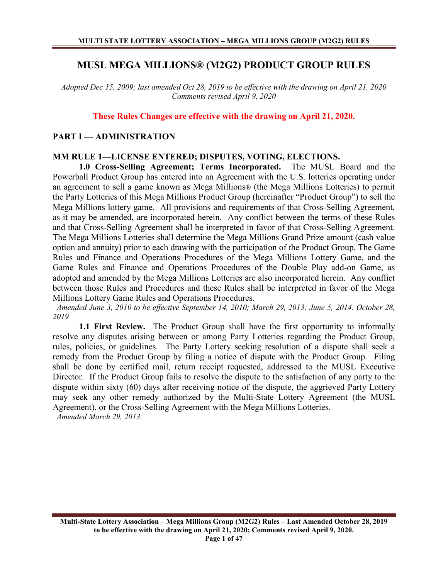# **MUSL MEGA MILLIONS® (M2G2) PRODUCT GROUP RULES**

*Adopted Dec 15, 2009; last amended Oct 28, 2019 to be effective with the drawing on April 21, 2020 Comments revised April 9, 2020*

**These Rules Changes are effective with the drawing on April 21, 2020.**

### **PART I — ADMINISTRATION**

# **MM RULE 1—LICENSE ENTERED; DISPUTES, VOTING, ELECTIONS.**

**1.0 Cross-Selling Agreement; Terms Incorporated.** The MUSL Board and the Powerball Product Group has entered into an Agreement with the U.S. lotteries operating under an agreement to sell a game known as Mega Millions® (the Mega Millions Lotteries) to permit the Party Lotteries of this Mega Millions Product Group (hereinafter "Product Group") to sell the Mega Millions lottery game. All provisions and requirements of that Cross-Selling Agreement, as it may be amended, are incorporated herein. Any conflict between the terms of these Rules and that Cross-Selling Agreement shall be interpreted in favor of that Cross-Selling Agreement. The Mega Millions Lotteries shall determine the Mega Millions Grand Prize amount (cash value option and annuity) prior to each drawing with the participation of the Product Group. The Game Rules and Finance and Operations Procedures of the Mega Millions Lottery Game, and the Game Rules and Finance and Operations Procedures of the Double Play add-on Game, as adopted and amended by the Mega Millions Lotteries are also incorporated herein. Any conflict between those Rules and Procedures and these Rules shall be interpreted in favor of the Mega Millions Lottery Game Rules and Operations Procedures.

 *Amended June 3, 2010 to be effective September 14, 2010; March 29, 2013; June 5, 2014. October 28, 2019*

**1.1 First Review.** The Product Group shall have the first opportunity to informally resolve any disputes arising between or among Party Lotteries regarding the Product Group, rules, policies, or guidelines. The Party Lottery seeking resolution of a dispute shall seek a remedy from the Product Group by filing a notice of dispute with the Product Group. Filing shall be done by certified mail, return receipt requested, addressed to the MUSL Executive Director. If the Product Group fails to resolve the dispute to the satisfaction of any party to the dispute within sixty (60) days after receiving notice of the dispute, the aggrieved Party Lottery may seek any other remedy authorized by the Multi-State Lottery Agreement (the MUSL Agreement), or the Cross-Selling Agreement with the Mega Millions Lotteries.

 *Amended March 29, 2013.*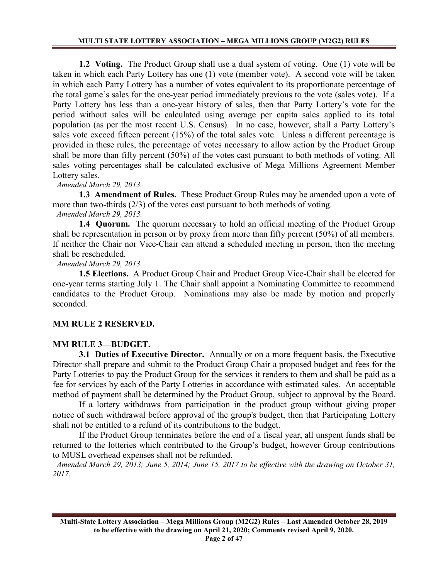**1.2 Voting.** The Product Group shall use a dual system of voting. One (1) vote will be taken in which each Party Lottery has one (1) vote (member vote). A second vote will be taken in which each Party Lottery has a number of votes equivalent to its proportionate percentage of the total game's sales for the one-year period immediately previous to the vote (sales vote). If a Party Lottery has less than a one-year history of sales, then that Party Lottery's vote for the period without sales will be calculated using average per capita sales applied to its total population (as per the most recent U.S. Census). In no case, however, shall a Party Lottery's sales vote exceed fifteen percent (15%) of the total sales vote. Unless a different percentage is provided in these rules, the percentage of votes necessary to allow action by the Product Group shall be more than fifty percent (50%) of the votes cast pursuant to both methods of voting. All sales voting percentages shall be calculated exclusive of Mega Millions Agreement Member Lottery sales.

# *Amended March 29, 2013.*

**1.3 Amendment of Rules.** These Product Group Rules may be amended upon a vote of more than two-thirds (2/3) of the votes cast pursuant to both methods of voting.

 *Amended March 29, 2013.*

**1.4 Quorum.** The quorum necessary to hold an official meeting of the Product Group shall be representation in person or by proxy from more than fifty percent (50%) of all members. If neither the Chair nor Vice-Chair can attend a scheduled meeting in person, then the meeting shall be rescheduled.

 *Amended March 29, 2013.*

**1.5 Elections.** A Product Group Chair and Product Group Vice-Chair shall be elected for one-year terms starting July 1. The Chair shall appoint a Nominating Committee to recommend candidates to the Product Group. Nominations may also be made by motion and properly seconded.

# **MM RULE 2 RESERVED.**

# **MM RULE 3—BUDGET.**

**3.1 Duties of Executive Director.** Annually or on a more frequent basis, the Executive Director shall prepare and submit to the Product Group Chair a proposed budget and fees for the Party Lotteries to pay the Product Group for the services it renders to them and shall be paid as a fee for services by each of the Party Lotteries in accordance with estimated sales. An acceptable method of payment shall be determined by the Product Group, subject to approval by the Board.

If a lottery withdraws from participation in the product group without giving proper notice of such withdrawal before approval of the group's budget, then that Participating Lottery shall not be entitled to a refund of its contributions to the budget.

If the Product Group terminates before the end of a fiscal year, all unspent funds shall be returned to the lotteries which contributed to the Group's budget, however Group contributions to MUSL overhead expenses shall not be refunded.

 *Amended March 29, 2013; June 5, 2014; June 15, 2017 to be effective with the drawing on October 31, 2017.*

**Multi-State Lottery Association – Mega Millions Group (M2G2) Rules – Last Amended October 28, 2019 to be effective with the drawing on April 21, 2020; Comments revised April 9, 2020. Page 2 of 47**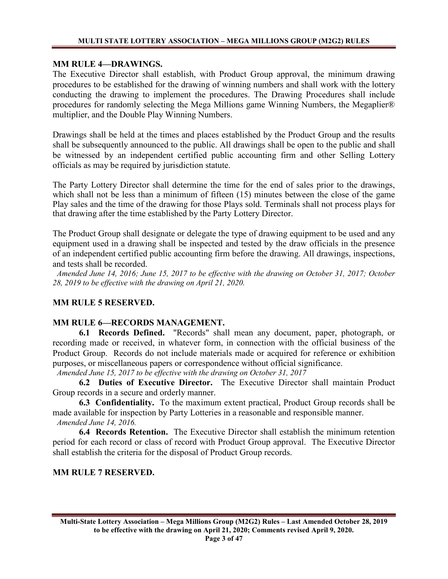# **MM RULE 4—DRAWINGS.**

The Executive Director shall establish, with Product Group approval, the minimum drawing procedures to be established for the drawing of winning numbers and shall work with the lottery conducting the drawing to implement the procedures. The Drawing Procedures shall include procedures for randomly selecting the Mega Millions game Winning Numbers, the Megaplier® multiplier, and the Double Play Winning Numbers.

Drawings shall be held at the times and places established by the Product Group and the results shall be subsequently announced to the public. All drawings shall be open to the public and shall be witnessed by an independent certified public accounting firm and other Selling Lottery officials as may be required by jurisdiction statute.

The Party Lottery Director shall determine the time for the end of sales prior to the drawings, which shall not be less than a minimum of fifteen (15) minutes between the close of the game Play sales and the time of the drawing for those Plays sold. Terminals shall not process plays for that drawing after the time established by the Party Lottery Director.

The Product Group shall designate or delegate the type of drawing equipment to be used and any equipment used in a drawing shall be inspected and tested by the draw officials in the presence of an independent certified public accounting firm before the drawing. All drawings, inspections, and tests shall be recorded.

 *Amended June 14, 2016; June 15, 2017 to be effective with the drawing on October 31, 2017; October 28, 2019 to be effective with the drawing on April 21, 2020.*

# **MM RULE 5 RESERVED.**

# **MM RULE 6—RECORDS MANAGEMENT.**

**6.1 Records Defined.** "Records" shall mean any document, paper, photograph, or recording made or received, in whatever form, in connection with the official business of the Product Group. Records do not include materials made or acquired for reference or exhibition purposes, or miscellaneous papers or correspondence without official significance.

*Amended June 15, 2017 to be effective with the drawing on October 31, 2017*

**6.2 Duties of Executive Director.** The Executive Director shall maintain Product Group records in a secure and orderly manner.

**6.3 Confidentiality.** To the maximum extent practical, Product Group records shall be made available for inspection by Party Lotteries in a reasonable and responsible manner. *Amended June 14, 2016.*

**6.4 Records Retention.** The Executive Director shall establish the minimum retention period for each record or class of record with Product Group approval. The Executive Director shall establish the criteria for the disposal of Product Group records.

### **MM RULE 7 RESERVED.**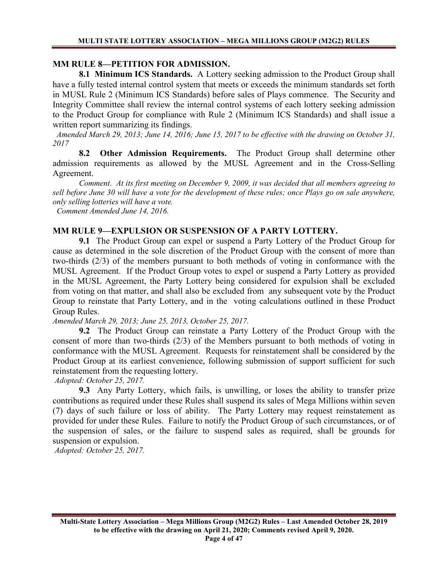### **MM RULE 8—PETITION FOR ADMISSION.**

**8.1 Minimum ICS Standards.** A Lottery seeking admission to the Product Group shall have a fully tested internal control system that meets or exceeds the minimum standards set forth in MUSL Rule 2 (Minimum ICS Standards) before sales of Plays commence. The Security and Integrity Committee shall review the internal control systems of each lottery seeking admission to the Product Group for compliance with Rule 2 (Minimum ICS Standards) and shall issue a written report summarizing its findings.

 *Amended March 29, 2013; June 14, 2016; June 15, 2017 to be effective with the drawing on October 31, 2017*

**8.2 Other Admission Requirements.** The Product Group shall determine other admission requirements as allowed by the MUSL Agreement and in the Cross-Selling Agreement.

*Comment*. *At its first meeting on December 9, 2009, it was decided that all members agreeing to sell before June 30 will have a vote for the development of these rules; once Plays go on sale anywhere, only selling lotteries will have a vote.*

 *Comment Amended June 14, 2016.*

### **MM RULE 9—EXPULSION OR SUSPENSION OF A PARTY LOTTERY.**

**9.1** The Product Group can expel or suspend a Party Lottery of the Product Group for cause as determined in the sole discretion of the Product Group with the consent of more than two-thirds (2/3) of the members pursuant to both methods of voting in conformance with the MUSL Agreement. If the Product Group votes to expel or suspend a Party Lottery as provided in the MUSL Agreement, the Party Lottery being considered for expulsion shall be excluded from voting on that matter, and shall also be excluded from any subsequent vote by the Product Group to reinstate that Party Lottery, and in the voting calculations outlined in these Product Group Rules.

*Amended March 29, 2013; June 25, 2013, October 25, 2017.*

**9.2** The Product Group can reinstate a Party Lottery of the Product Group with the consent of more than two-thirds (2/3) of the Members pursuant to both methods of voting in conformance with the MUSL Agreement. Requests for reinstatement shall be considered by the Product Group at its earliest convenience, following submission of support sufficient for such reinstatement from the requesting lottery.

*Adopted: October 25, 2017.* 

**9.3** Any Party Lottery, which fails, is unwilling, or loses the ability to transfer prize contributions as required under these Rules shall suspend its sales of Mega Millions within seven (7) days of such failure or loss of ability. The Party Lottery may request reinstatement as provided for under these Rules. Failure to notify the Product Group of such circumstances, or of the suspension of sales, or the failure to suspend sales as required, shall be grounds for suspension or expulsion.

*Adopted: October 25, 2017.*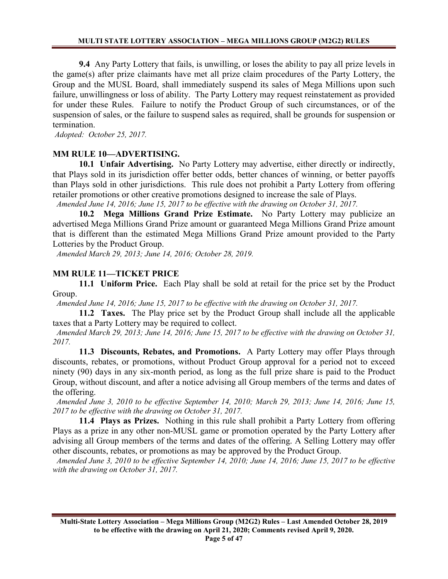**9.4** Any Party Lottery that fails, is unwilling, or loses the ability to pay all prize levels in the game(s) after prize claimants have met all prize claim procedures of the Party Lottery, the Group and the MUSL Board, shall immediately suspend its sales of Mega Millions upon such failure, unwillingness or loss of ability. The Party Lottery may request reinstatement as provided for under these Rules. Failure to notify the Product Group of such circumstances, or of the suspension of sales, or the failure to suspend sales as required, shall be grounds for suspension or termination.

*Adopted: October 25, 2017.* 

# **MM RULE 10—ADVERTISING.**

**10.1 Unfair Advertising.** No Party Lottery may advertise, either directly or indirectly, that Plays sold in its jurisdiction offer better odds, better chances of winning, or better payoffs than Plays sold in other jurisdictions. This rule does not prohibit a Party Lottery from offering retailer promotions or other creative promotions designed to increase the sale of Plays.

 *Amended June 14, 2016; June 15, 2017 to be effective with the drawing on October 31, 2017.*

**10.2 Mega Millions Grand Prize Estimate.** No Party Lottery may publicize an advertised Mega Millions Grand Prize amount or guaranteed Mega Millions Grand Prize amount that is different than the estimated Mega Millions Grand Prize amount provided to the Party Lotteries by the Product Group.

 *Amended March 29, 2013; June 14, 2016; October 28, 2019.*

# **MM RULE 11—TICKET PRICE**

**11.1 Uniform Price.** Each Play shall be sold at retail for the price set by the Product Group.

 *Amended June 14, 2016; June 15, 2017 to be effective with the drawing on October 31, 2017.*

**11.2 Taxes.** The Play price set by the Product Group shall include all the applicable taxes that a Party Lottery may be required to collect.

 *Amended March 29, 2013; June 14, 2016; June 15, 2017 to be effective with the drawing on October 31, 2017.*

**11.3 Discounts, Rebates, and Promotions.** A Party Lottery may offer Plays through discounts, rebates, or promotions, without Product Group approval for a period not to exceed ninety (90) days in any six-month period, as long as the full prize share is paid to the Product Group, without discount, and after a notice advising all Group members of the terms and dates of the offering.

 *Amended June 3, 2010 to be effective September 14, 2010; March 29, 2013; June 14, 2016; June 15, 2017 to be effective with the drawing on October 31, 2017.*

**11.4 Plays as Prizes.** Nothing in this rule shall prohibit a Party Lottery from offering Plays as a prize in any other non-MUSL game or promotion operated by the Party Lottery after advising all Group members of the terms and dates of the offering. A Selling Lottery may offer other discounts, rebates, or promotions as may be approved by the Product Group.

 *Amended June 3, 2010 to be effective September 14, 2010; June 14, 2016; June 15, 2017 to be effective with the drawing on October 31, 2017.*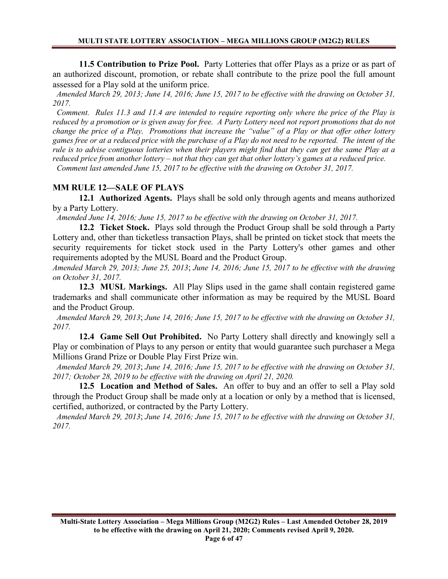**11.5 Contribution to Prize Pool.** Party Lotteries that offer Plays as a prize or as part of an authorized discount, promotion, or rebate shall contribute to the prize pool the full amount assessed for a Play sold at the uniform price.

 *Amended March 29, 2013; June 14, 2016; June 15, 2017 to be effective with the drawing on October 31, 2017.*

 *Comment. Rules 11.3 and 11.4 are intended to require reporting only where the price of the Play is reduced by a promotion or is given away for free. A Party Lottery need not report promotions that do not change the price of a Play. Promotions that increase the "value" of a Play or that offer other lottery games free or at a reduced price with the purchase of a Play do not need to be reported. The intent of the rule is to advise contiguous lotteries when their players might find that they can get the same Play at a reduced price from another lottery – not that they can get that other lottery's games at a reduced price. Comment last amended June 15, 2017 to be effective with the drawing on October 31, 2017.*

# **MM RULE 12—SALE OF PLAYS**

**12.1 Authorized Agents.** Plays shall be sold only through agents and means authorized by a Party Lottery.

 *Amended June 14, 2016; June 15, 2017 to be effective with the drawing on October 31, 2017.*

**12.2 Ticket Stock.** Plays sold through the Product Group shall be sold through a Party Lottery and, other than ticketless transaction Plays, shall be printed on ticket stock that meets the security requirements for ticket stock used in the Party Lottery's other games and other requirements adopted by the MUSL Board and the Product Group.

*Amended March 29, 2013; June 25, 2013*; *June 14, 2016; June 15, 2017 to be effective with the drawing on October 31, 2017.*

**12.3 MUSL Markings.** All Play Slips used in the game shall contain registered game trademarks and shall communicate other information as may be required by the MUSL Board and the Product Group.

 *Amended March 29, 2013*; *June 14, 2016; June 15, 2017 to be effective with the drawing on October 31, 2017.*

**12.4 Game Sell Out Prohibited.** No Party Lottery shall directly and knowingly sell a Play or combination of Plays to any person or entity that would guarantee such purchaser a Mega Millions Grand Prize or Double Play First Prize win.

 *Amended March 29, 2013*; *June 14, 2016; June 15, 2017 to be effective with the drawing on October 31, 2017; October 28, 2019 to be effective with the drawing on April 21, 2020.*

**12.5 Location and Method of Sales.** An offer to buy and an offer to sell a Play sold through the Product Group shall be made only at a location or only by a method that is licensed, certified, authorized, or contracted by the Party Lottery.

 *Amended March 29, 2013*; *June 14, 2016; June 15, 2017 to be effective with the drawing on October 31, 2017.*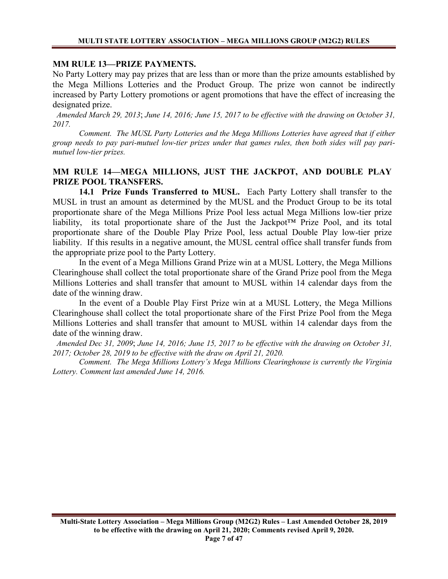#### **MM RULE 13—PRIZE PAYMENTS.**

No Party Lottery may pay prizes that are less than or more than the prize amounts established by the Mega Millions Lotteries and the Product Group. The prize won cannot be indirectly increased by Party Lottery promotions or agent promotions that have the effect of increasing the designated prize.

 *Amended March 29, 2013*; *June 14, 2016; June 15, 2017 to be effective with the drawing on October 31, 2017.*

*Comment. The MUSL Party Lotteries and the Mega Millions Lotteries have agreed that if either group needs to pay pari-mutuel low-tier prizes under that games rules, then both sides will pay parimutuel low-tier prizes.*

## **MM RULE 14—MEGA MILLIONS, JUST THE JACKPOT, AND DOUBLE PLAY PRIZE POOL TRANSFERS.**

**14.1 Prize Funds Transferred to MUSL.** Each Party Lottery shall transfer to the MUSL in trust an amount as determined by the MUSL and the Product Group to be its total proportionate share of the Mega Millions Prize Pool less actual Mega Millions low-tier prize liability, its total proportionate share of the Just the Jackpot™ Prize Pool, and its total proportionate share of the Double Play Prize Pool, less actual Double Play low-tier prize liability. If this results in a negative amount, the MUSL central office shall transfer funds from the appropriate prize pool to the Party Lottery.

In the event of a Mega Millions Grand Prize win at a MUSL Lottery, the Mega Millions Clearinghouse shall collect the total proportionate share of the Grand Prize pool from the Mega Millions Lotteries and shall transfer that amount to MUSL within 14 calendar days from the date of the winning draw.

In the event of a Double Play First Prize win at a MUSL Lottery, the Mega Millions Clearinghouse shall collect the total proportionate share of the First Prize Pool from the Mega Millions Lotteries and shall transfer that amount to MUSL within 14 calendar days from the date of the winning draw.

 *Amended Dec 31, 2009*; *June 14, 2016; June 15, 2017 to be effective with the drawing on October 31, 2017; October 28, 2019 to be effective with the draw on April 21, 2020.*

*Comment. The Mega Millions Lottery's Mega Millions Clearinghouse is currently the Virginia Lottery. Comment last amended June 14, 2016.*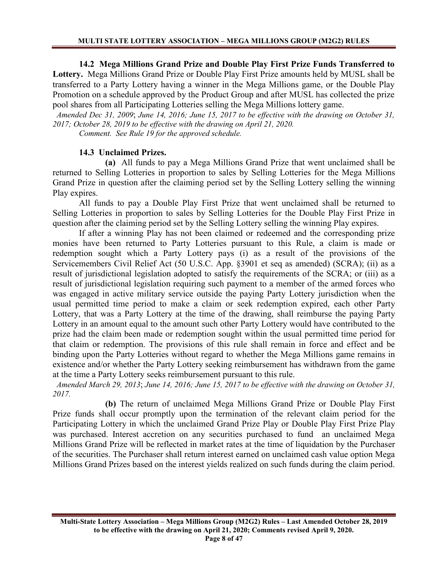**14.2 Mega Millions Grand Prize and Double Play First Prize Funds Transferred to Lottery.** Mega Millions Grand Prize or Double Play First Prize amounts held by MUSL shall be transferred to a Party Lottery having a winner in the Mega Millions game, or the Double Play Promotion on a schedule approved by the Product Group and after MUSL has collected the prize pool shares from all Participating Lotteries selling the Mega Millions lottery game.

 *Amended Dec 31, 2009*; *June 14, 2016; June 15, 2017 to be effective with the drawing on October 31, 2017; October 28, 2019 to be effective with the drawing on April 21, 2020. Comment. See Rule 19 for the approved schedule.*

# **14.3 Unclaimed Prizes.**

**(a)** All funds to pay a Mega Millions Grand Prize that went unclaimed shall be returned to Selling Lotteries in proportion to sales by Selling Lotteries for the Mega Millions Grand Prize in question after the claiming period set by the Selling Lottery selling the winning Play expires.

All funds to pay a Double Play First Prize that went unclaimed shall be returned to Selling Lotteries in proportion to sales by Selling Lotteries for the Double Play First Prize in question after the claiming period set by the Selling Lottery selling the winning Play expires.

If after a winning Play has not been claimed or redeemed and the corresponding prize monies have been returned to Party Lotteries pursuant to this Rule, a claim is made or redemption sought which a Party Lottery pays (i) as a result of the provisions of the Servicemembers Civil Relief Act (50 U.S.C. App. §3901 et seq as amended) (SCRA); (ii) as a result of jurisdictional legislation adopted to satisfy the requirements of the SCRA; or (iii) as a result of jurisdictional legislation requiring such payment to a member of the armed forces who was engaged in active military service outside the paying Party Lottery jurisdiction when the usual permitted time period to make a claim or seek redemption expired, each other Party Lottery, that was a Party Lottery at the time of the drawing, shall reimburse the paying Party Lottery in an amount equal to the amount such other Party Lottery would have contributed to the prize had the claim been made or redemption sought within the usual permitted time period for that claim or redemption. The provisions of this rule shall remain in force and effect and be binding upon the Party Lotteries without regard to whether the Mega Millions game remains in existence and/or whether the Party Lottery seeking reimbursement has withdrawn from the game at the time a Party Lottery seeks reimbursement pursuant to this rule.

 *Amended March 29, 2013*; *June 14, 2016; June 15, 2017 to be effective with the drawing on October 31, 2017.*

**(b)** The return of unclaimed Mega Millions Grand Prize or Double Play First Prize funds shall occur promptly upon the termination of the relevant claim period for the Participating Lottery in which the unclaimed Grand Prize Play or Double Play First Prize Play was purchased. Interest accretion on any securities purchased to fund an unclaimed Mega Millions Grand Prize will be reflected in market rates at the time of liquidation by the Purchaser of the securities. The Purchaser shall return interest earned on unclaimed cash value option Mega Millions Grand Prizes based on the interest yields realized on such funds during the claim period.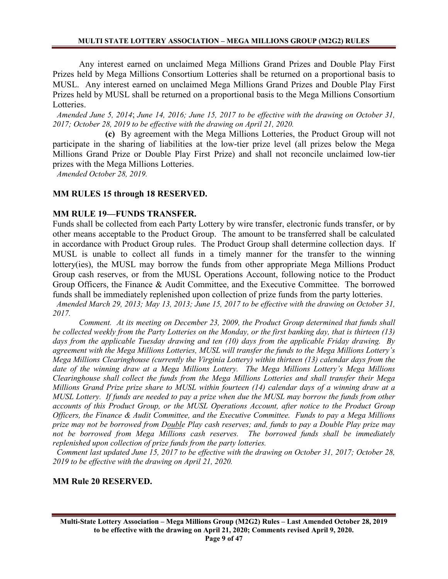Any interest earned on unclaimed Mega Millions Grand Prizes and Double Play First Prizes held by Mega Millions Consortium Lotteries shall be returned on a proportional basis to MUSL. Any interest earned on unclaimed Mega Millions Grand Prizes and Double Play First Prizes held by MUSL shall be returned on a proportional basis to the Mega Millions Consortium Lotteries.

 *Amended June 5, 2014*; *June 14, 2016; June 15, 2017 to be effective with the drawing on October 31, 2017; October 28, 2019 to be effective with the drawing on April 21, 2020.*

**(c)** By agreement with the Mega Millions Lotteries, the Product Group will not participate in the sharing of liabilities at the low-tier prize level (all prizes below the Mega Millions Grand Prize or Double Play First Prize) and shall not reconcile unclaimed low-tier prizes with the Mega Millions Lotteries.

*Amended October 28, 2019.*

# **MM RULES 15 through 18 RESERVED.**

# **MM RULE 19—FUNDS TRANSFER.**

Funds shall be collected from each Party Lottery by wire transfer, electronic funds transfer, or by other means acceptable to the Product Group. The amount to be transferred shall be calculated in accordance with Product Group rules. The Product Group shall determine collection days. If MUSL is unable to collect all funds in a timely manner for the transfer to the winning lottery(ies), the MUSL may borrow the funds from other appropriate Mega Millions Product Group cash reserves, or from the MUSL Operations Account, following notice to the Product Group Officers, the Finance & Audit Committee, and the Executive Committee. The borrowed funds shall be immediately replenished upon collection of prize funds from the party lotteries.

 *Amended March 29, 2013; May 13, 2013; June 15, 2017 to be effective with the drawing on October 31, 2017.*

*Comment. At its meeting on December 23, 2009, the Product Group determined that funds shall be collected weekly from the Party Lotteries on the Monday, or the first banking day, that is thirteen (13) days from the applicable Tuesday drawing and ten (10) days from the applicable Friday drawing. By agreement with the Mega Millions Lotteries, MUSL will transfer the funds to the Mega Millions Lottery's Mega Millions Clearinghouse (currently the Virginia Lottery) within thirteen (13) calendar days from the date of the winning draw at a Mega Millions Lottery. The Mega Millions Lottery's Mega Millions Clearinghouse shall collect the funds from the Mega Millions Lotteries and shall transfer their Mega Millions Grand Prize prize share to MUSL within fourteen (14) calendar days of a winning draw at a MUSL Lottery. If funds are needed to pay a prize when due the MUSL may borrow the funds from other accounts of this Product Group, or the MUSL Operations Account, after notice to the Product Group Officers, the Finance & Audit Committee, and the Executive Committee. Funds to pay a Mega Millions prize may not be borrowed from Double Play cash reserves; and, funds to pay a Double Play prize may not be borrowed from Mega Millions cash reserves. The borrowed funds shall be immediately replenished upon collection of prize funds from the party lotteries.* 

 *Comment last updated June 15, 2017 to be effective with the drawing on October 31, 2017; October 28, 2019 to be effective with the drawing on April 21, 2020.*

### **MM Rule 20 RESERVED.**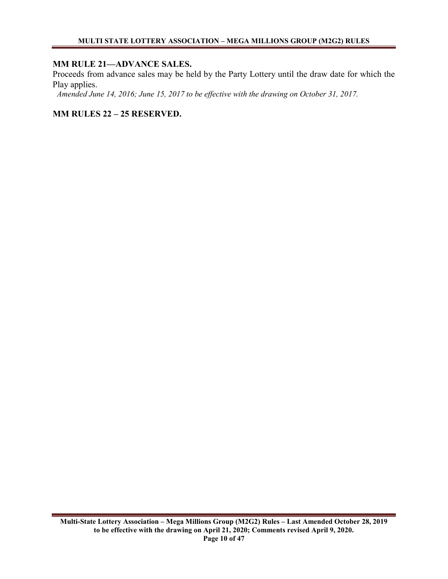# **MM RULE 21—ADVANCE SALES.**

Proceeds from advance sales may be held by the Party Lottery until the draw date for which the Play applies.

*Amended June 14, 2016; June 15, 2017 to be effective with the drawing on October 31, 2017.*

**MM RULES 22 – 25 RESERVED.**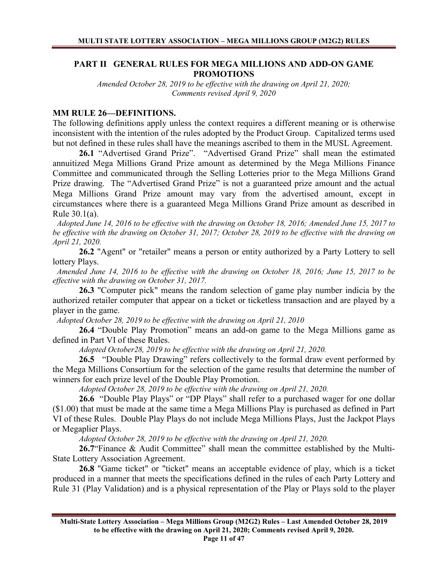# **PART II GENERAL RULES FOR MEGA MILLIONS AND ADD-ON GAME PROMOTIONS**

*Amended October 28, 2019 to be effective with the drawing on April 21, 2020; Comments revised April 9, 2020* 

### **MM RULE 26—DEFINITIONS.**

The following definitions apply unless the context requires a different meaning or is otherwise inconsistent with the intention of the rules adopted by the Product Group. Capitalized terms used but not defined in these rules shall have the meanings ascribed to them in the MUSL Agreement.

**26.1** "Advertised Grand Prize". "Advertised Grand Prize" shall mean the estimated annuitized Mega Millions Grand Prize amount as determined by the Mega Millions Finance Committee and communicated through the Selling Lotteries prior to the Mega Millions Grand Prize drawing. The "Advertised Grand Prize" is not a guaranteed prize amount and the actual Mega Millions Grand Prize amount may vary from the advertised amount, except in circumstances where there is a guaranteed Mega Millions Grand Prize amount as described in Rule 30.1(a).

 *Adopted June 14, 2016 to be effective with the drawing on October 18, 2016; Amended June 15, 2017 to be effective with the drawing on October 31, 2017; October 28, 2019 to be effective with the drawing on April 21, 2020.*

**26.2** "Agent" or "retailer" means a person or entity authorized by a Party Lottery to sell lottery Plays.

 *Amended June 14, 2016 to be effective with the drawing on October 18, 2016; June 15, 2017 to be effective with the drawing on October 31, 2017.*

**26.3** "Computer pick" means the random selection of game play number indicia by the authorized retailer computer that appear on a ticket or ticketless transaction and are played by a player in the game.

 *Adopted October 28, 2019 to be effective with the drawing on April 21, 2010*

**26.4** "Double Play Promotion" means an add-on game to the Mega Millions game as defined in Part VI of these Rules.

*Adopted October28, 2019 to be effective with the drawing on April 21, 2020.*

**26.5** "Double Play Drawing" refers collectively to the formal draw event performed by the Mega Millions Consortium for the selection of the game results that determine the number of winners for each prize level of the Double Play Promotion.

*Adopted October 28, 2019 to be effective with the drawing on April 21, 2020.* 

**26.6** "Double Play Plays" or "DP Plays" shall refer to a purchased wager for one dollar (\$1.00) that must be made at the same time a Mega Millions Play is purchased as defined in Part VI of these Rules. Double Play Plays do not include Mega Millions Plays, Just the Jackpot Plays or Megaplier Plays.

*Adopted October 28, 2019 to be effective with the drawing on April 21, 2020.*

**26.7**"Finance & Audit Committee" shall mean the committee established by the Multi-State Lottery Association Agreement.

**26.8** "Game ticket" or "ticket" means an acceptable evidence of play, which is a ticket produced in a manner that meets the specifications defined in the rules of each Party Lottery and Rule 31 (Play Validation) and is a physical representation of the Play or Plays sold to the player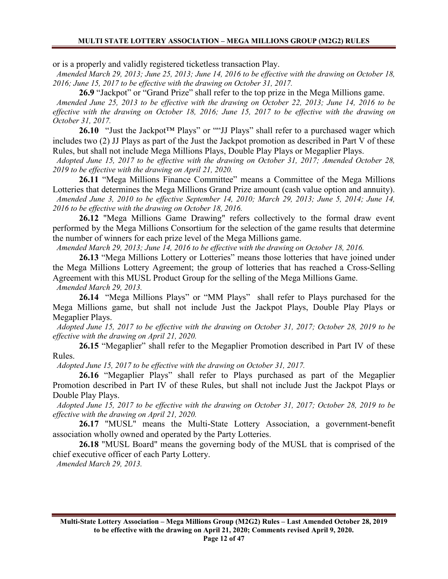or is a properly and validly registered ticketless transaction Play.

 *Amended March 29, 2013; June 25, 2013; June 14, 2016 to be effective with the drawing on October 18, 2016; June 15, 2017 to be effective with the drawing on October 31, 2017.*

**26.9** "Jackpot" or "Grand Prize" shall refer to the top prize in the Mega Millions game.

 *Amended June 25, 2013 to be effective with the drawing on October 22, 2013; June 14, 2016 to be effective with the drawing on October 18, 2016; June 15, 2017 to be effective with the drawing on October 31, 2017.*

**26.10** "Just the Jackpot™ Plays" or ""JJ Plays" shall refer to a purchased wager which includes two (2) JJ Plays as part of the Just the Jackpot promotion as described in Part V of these Rules, but shall not include Mega Millions Plays, Double Play Plays or Megaplier Plays.

 *Adopted June 15, 2017 to be effective with the drawing on October 31, 2017; Amended October 28, 2019 to be effective with the drawing on April 21, 2020.*

**26.11** "Mega Millions Finance Committee" means a Committee of the Mega Millions Lotteries that determines the Mega Millions Grand Prize amount (cash value option and annuity).  *Amended June 3, 2010 to be effective September 14, 2010; March 29, 2013; June 5, 2014; June 14, 2016 to be effective with the drawing on October 18, 2016.*

**26.12** "Mega Millions Game Drawing" refers collectively to the formal draw event performed by the Mega Millions Consortium for the selection of the game results that determine the number of winners for each prize level of the Mega Millions game.

 *Amended March 29, 2013; June 14, 2016 to be effective with the drawing on October 18, 2016.*

**26.13** "Mega Millions Lottery or Lotteries" means those lotteries that have joined under the Mega Millions Lottery Agreement; the group of lotteries that has reached a Cross-Selling Agreement with this MUSL Product Group for the selling of the Mega Millions Game.

 *Amended March 29, 2013.*

**26.14** "Mega Millions Plays" or "MM Plays" shall refer to Plays purchased for the Mega Millions game, but shall not include Just the Jackpot Plays, Double Play Plays or Megaplier Plays.

 *Adopted June 15, 2017 to be effective with the drawing on October 31, 2017; October 28, 2019 to be effective with the drawing on April 21, 2020.*

**26.15** "Megaplier" shall refer to the Megaplier Promotion described in Part IV of these Rules.

*Adopted June 15, 2017 to be effective with the drawing on October 31, 2017.*

**26.16** "Megaplier Plays" shall refer to Plays purchased as part of the Megaplier Promotion described in Part IV of these Rules, but shall not include Just the Jackpot Plays or Double Play Plays.

 *Adopted June 15, 2017 to be effective with the drawing on October 31, 2017; October 28, 2019 to be effective with the drawing on April 21, 2020.*

**26.17** "MUSL" means the Multi-State Lottery Association, a government-benefit association wholly owned and operated by the Party Lotteries.

**26.18** "MUSL Board" means the governing body of the MUSL that is comprised of the chief executive officer of each Party Lottery.

 *Amended March 29, 2013.*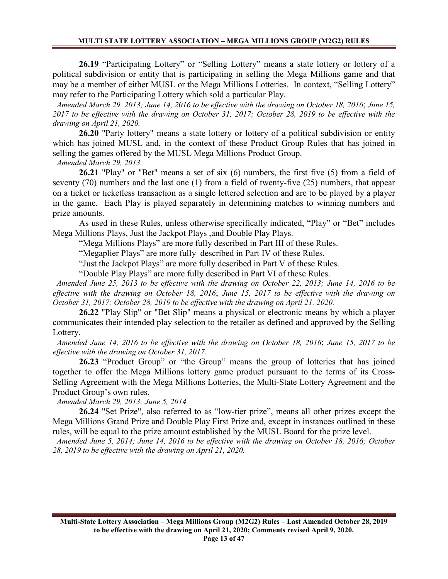**26.19** "Participating Lottery" or "Selling Lottery" means a state lottery or lottery of a political subdivision or entity that is participating in selling the Mega Millions game and that may be a member of either MUSL or the Mega Millions Lotteries. In context, "Selling Lottery" may refer to the Participating Lottery which sold a particular Play.

 *Amended March 29, 2013; June 14, 2016 to be effective with the drawing on October 18, 2016*; *June 15, 2017 to be effective with the drawing on October 31, 2017; October 28, 2019 to be effective with the drawing on April 21, 2020.*

**26.20** "Party lottery" means a state lottery or lottery of a political subdivision or entity which has joined MUSL and, in the context of these Product Group Rules that has joined in selling the games offered by the MUSL Mega Millions Product Group.

 *Amended March 29, 2013.*

**26.21** "Play" or "Bet" means a set of six (6) numbers, the first five (5) from a field of seventy (70) numbers and the last one (1) from a field of twenty-five (25) numbers, that appear on a ticket or ticketless transaction as a single lettered selection and are to be played by a player in the game. Each Play is played separately in determining matches to winning numbers and prize amounts.

As used in these Rules, unless otherwise specifically indicated, "Play" or "Bet" includes Mega Millions Plays, Just the Jackpot Plays ,and Double Play Plays.

"Mega Millions Plays" are more fully described in Part III of these Rules.

"Megaplier Plays" are more fully described in Part IV of these Rules.

"Just the Jackpot Plays" are more fully described in Part V of these Rules.

"Double Play Plays" are more fully described in Part VI of these Rules.

 *Amended June 25, 2013 to be effective with the drawing on October 22, 2013; June 14, 2016 to be effective with the drawing on October 18, 2016*; *June 15, 2017 to be effective with the drawing on October 31, 2017; October 28, 2019 to be effective with the drawing on April 21, 2020.*

**26.22** "Play Slip" or "Bet Slip" means a physical or electronic means by which a player communicates their intended play selection to the retailer as defined and approved by the Selling Lottery.

 *Amended June 14, 2016 to be effective with the drawing on October 18, 2016*; *June 15, 2017 to be effective with the drawing on October 31, 2017.*

**26.23** "Product Group" or "the Group" means the group of lotteries that has joined together to offer the Mega Millions lottery game product pursuant to the terms of its Cross-Selling Agreement with the Mega Millions Lotteries, the Multi-State Lottery Agreement and the Product Group's own rules.

 *Amended March 29, 2013; June 5, 2014.*

**26.24** "Set Prize", also referred to as "low-tier prize", means all other prizes except the Mega Millions Grand Prize and Double Play First Prize and, except in instances outlined in these rules, will be equal to the prize amount established by the MUSL Board for the prize level.

 *Amended June 5, 2014; June 14, 2016 to be effective with the drawing on October 18, 2016; October 28, 2019 to be effective with the drawing on April 21, 2020.*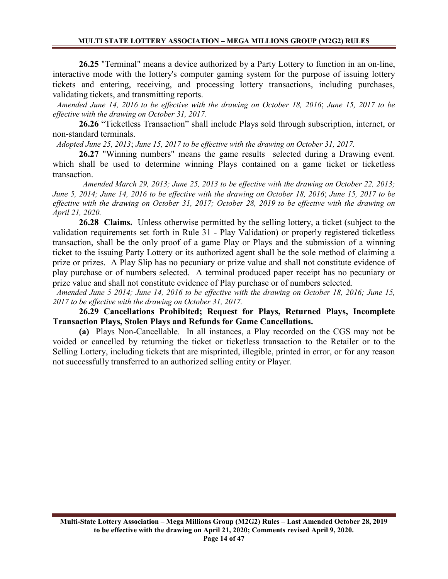**26.25** "Terminal" means a device authorized by a Party Lottery to function in an on-line, interactive mode with the lottery's computer gaming system for the purpose of issuing lottery tickets and entering, receiving, and processing lottery transactions, including purchases, validating tickets, and transmitting reports.

 *Amended June 14, 2016 to be effective with the drawing on October 18, 2016*; *June 15, 2017 to be effective with the drawing on October 31, 2017.*

**26.26** "Ticketless Transaction" shall include Plays sold through subscription, internet, or non-standard terminals.

 *Adopted June 25, 2013*; *June 15, 2017 to be effective with the drawing on October 31, 2017.*

**26.27** "Winning numbers" means the game results selected during a Drawing event. which shall be used to determine winning Plays contained on a game ticket or ticketless transaction.

 *Amended March 29, 2013; June 25, 2013 to be effective with the drawing on October 22, 2013; June 5, 2014; June 14, 2016 to be effective with the drawing on October 18, 2016*; *June 15, 2017 to be effective with the drawing on October 31, 2017; October 28, 2019 to be effective with the drawing on April 21, 2020.*

**26.28 Claims.** Unless otherwise permitted by the selling lottery, a ticket (subject to the validation requirements set forth in Rule 31 - Play Validation) or properly registered ticketless transaction, shall be the only proof of a game Play or Plays and the submission of a winning ticket to the issuing Party Lottery or its authorized agent shall be the sole method of claiming a prize or prizes. A Play Slip has no pecuniary or prize value and shall not constitute evidence of play purchase or of numbers selected. A terminal produced paper receipt has no pecuniary or prize value and shall not constitute evidence of Play purchase or of numbers selected.

 *Amended June 5 2014; June 14, 2016 to be effective with the drawing on October 18, 2016; June 15, 2017 to be effective with the drawing on October 31, 2017.*

**26.29 Cancellations Prohibited; Request for Plays, Returned Plays, Incomplete Transaction Plays, Stolen Plays and Refunds for Game Cancellations.**

**(a)** Plays Non-Cancellable. In all instances, a Play recorded on the CGS may not be voided or cancelled by returning the ticket or ticketless transaction to the Retailer or to the Selling Lottery, including tickets that are misprinted, illegible, printed in error, or for any reason not successfully transferred to an authorized selling entity or Player.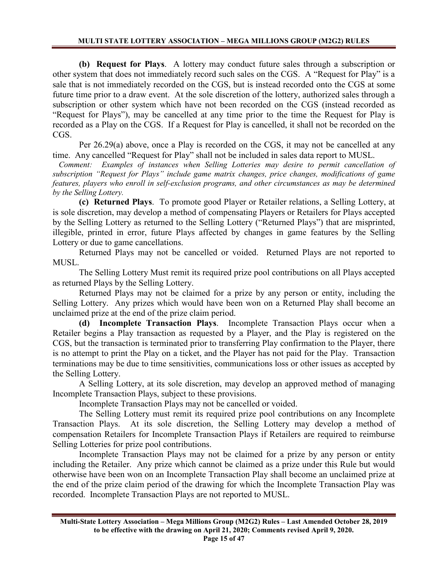**(b) Request for Plays**. A lottery may conduct future sales through a subscription or other system that does not immediately record such sales on the CGS. A "Request for Play" is a sale that is not immediately recorded on the CGS, but is instead recorded onto the CGS at some future time prior to a draw event. At the sole discretion of the lottery, authorized sales through a subscription or other system which have not been recorded on the CGS (instead recorded as "Request for Plays"), may be cancelled at any time prior to the time the Request for Play is recorded as a Play on the CGS. If a Request for Play is cancelled, it shall not be recorded on the CGS.

Per 26.29(a) above, once a Play is recorded on the CGS, it may not be cancelled at any time. Any cancelled "Request for Play" shall not be included in sales data report to MUSL.

 *Comment: Examples of instances when Selling Lotteries may desire to permit cancellation of subscription "Request for Plays" include game matrix changes, price changes, modifications of game features, players who enroll in self-exclusion programs, and other circumstances as may be determined by the Selling Lottery.* 

**(c) Returned Plays**. To promote good Player or Retailer relations, a Selling Lottery, at is sole discretion, may develop a method of compensating Players or Retailers for Plays accepted by the Selling Lottery as returned to the Selling Lottery ("Returned Plays") that are misprinted, illegible, printed in error, future Plays affected by changes in game features by the Selling Lottery or due to game cancellations.

Returned Plays may not be cancelled or voided. Returned Plays are not reported to MUSL.

The Selling Lottery Must remit its required prize pool contributions on all Plays accepted as returned Plays by the Selling Lottery.

Returned Plays may not be claimed for a prize by any person or entity, including the Selling Lottery. Any prizes which would have been won on a Returned Play shall become an unclaimed prize at the end of the prize claim period.

**(d) Incomplete Transaction Plays**. Incomplete Transaction Plays occur when a Retailer begins a Play transaction as requested by a Player, and the Play is registered on the CGS, but the transaction is terminated prior to transferring Play confirmation to the Player, there is no attempt to print the Play on a ticket, and the Player has not paid for the Play. Transaction terminations may be due to time sensitivities, communications loss or other issues as accepted by the Selling Lottery.

A Selling Lottery, at its sole discretion, may develop an approved method of managing Incomplete Transaction Plays, subject to these provisions.

Incomplete Transaction Plays may not be cancelled or voided.

The Selling Lottery must remit its required prize pool contributions on any Incomplete Transaction Plays. At its sole discretion, the Selling Lottery may develop a method of compensation Retailers for Incomplete Transaction Plays if Retailers are required to reimburse Selling Lotteries for prize pool contributions.

Incomplete Transaction Plays may not be claimed for a prize by any person or entity including the Retailer. Any prize which cannot be claimed as a prize under this Rule but would otherwise have been won on an Incomplete Transaction Play shall become an unclaimed prize at the end of the prize claim period of the drawing for which the Incomplete Transaction Play was recorded. Incomplete Transaction Plays are not reported to MUSL.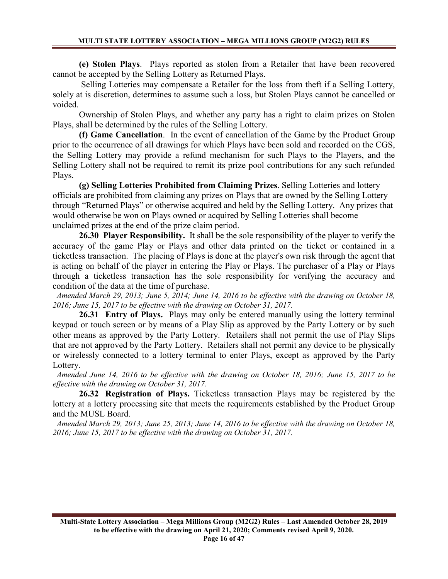**(e) Stolen Plays**. Plays reported as stolen from a Retailer that have been recovered cannot be accepted by the Selling Lottery as Returned Plays.

Selling Lotteries may compensate a Retailer for the loss from theft if a Selling Lottery, solely at is discretion, determines to assume such a loss, but Stolen Plays cannot be cancelled or voided.

Ownership of Stolen Plays, and whether any party has a right to claim prizes on Stolen Plays, shall be determined by the rules of the Selling Lottery.

**(f) Game Cancellation**. In the event of cancellation of the Game by the Product Group prior to the occurrence of all drawings for which Plays have been sold and recorded on the CGS, the Selling Lottery may provide a refund mechanism for such Plays to the Players, and the Selling Lottery shall not be required to remit its prize pool contributions for any such refunded Plays.

**(g) Selling Lotteries Prohibited from Claiming Prizes**. Selling Lotteries and lottery officials are prohibited from claiming any prizes on Plays that are owned by the Selling Lottery through "Returned Plays" or otherwise acquired and held by the Selling Lottery. Any prizes that would otherwise be won on Plays owned or acquired by Selling Lotteries shall become unclaimed prizes at the end of the prize claim period.

**26.30 Player Responsibility.** It shall be the sole responsibility of the player to verify the accuracy of the game Play or Plays and other data printed on the ticket or contained in a ticketless transaction. The placing of Plays is done at the player's own risk through the agent that is acting on behalf of the player in entering the Play or Plays. The purchaser of a Play or Plays through a ticketless transaction has the sole responsibility for verifying the accuracy and condition of the data at the time of purchase.

 *Amended March 29, 2013; June 5, 2014; June 14, 2016 to be effective with the drawing on October 18, 2016; June 15, 2017 to be effective with the drawing on October 31, 2017.*

**26.31 Entry of Plays.** Plays may only be entered manually using the lottery terminal keypad or touch screen or by means of a Play Slip as approved by the Party Lottery or by such other means as approved by the Party Lottery. Retailers shall not permit the use of Play Slips that are not approved by the Party Lottery. Retailers shall not permit any device to be physically or wirelessly connected to a lottery terminal to enter Plays, except as approved by the Party Lottery.

 *Amended June 14, 2016 to be effective with the drawing on October 18, 2016; June 15, 2017 to be effective with the drawing on October 31, 2017.*

**26.32 Registration of Plays.** Ticketless transaction Plays may be registered by the lottery at a lottery processing site that meets the requirements established by the Product Group and the MUSL Board.

 *Amended March 29, 2013; June 25, 2013; June 14, 2016 to be effective with the drawing on October 18, 2016; June 15, 2017 to be effective with the drawing on October 31, 2017.*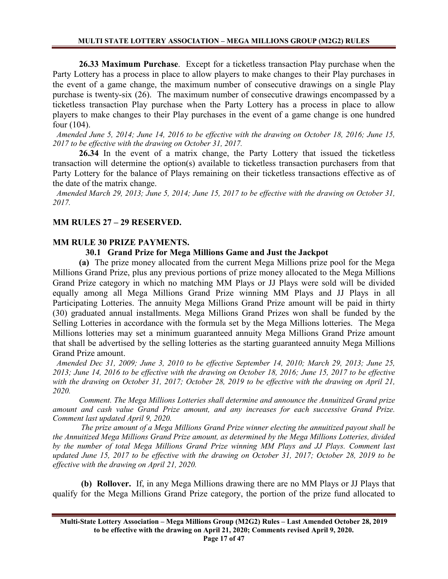**26.33 Maximum Purchase**. Except for a ticketless transaction Play purchase when the Party Lottery has a process in place to allow players to make changes to their Play purchases in the event of a game change, the maximum number of consecutive drawings on a single Play purchase is twenty-six (26). The maximum number of consecutive drawings encompassed by a ticketless transaction Play purchase when the Party Lottery has a process in place to allow players to make changes to their Play purchases in the event of a game change is one hundred four (104).

 *Amended June 5, 2014; June 14, 2016 to be effective with the drawing on October 18, 2016; June 15, 2017 to be effective with the drawing on October 31, 2017.*

**26.34** In the event of a matrix change, the Party Lottery that issued the ticketless transaction will determine the option(s) available to ticketless transaction purchasers from that Party Lottery for the balance of Plays remaining on their ticketless transactions effective as of the date of the matrix change.

 *Amended March 29, 2013; June 5, 2014; June 15, 2017 to be effective with the drawing on October 31, 2017.*

# **MM RULES 27 – 29 RESERVED.**

# **MM RULE 30 PRIZE PAYMENTS.**

### **30.1 Grand Prize for Mega Millions Game and Just the Jackpot**

**(a)** The prize money allocated from the current Mega Millions prize pool for the Mega Millions Grand Prize, plus any previous portions of prize money allocated to the Mega Millions Grand Prize category in which no matching MM Plays or JJ Plays were sold will be divided equally among all Mega Millions Grand Prize winning MM Plays and JJ Plays in all Participating Lotteries. The annuity Mega Millions Grand Prize amount will be paid in thirty (30) graduated annual installments. Mega Millions Grand Prizes won shall be funded by the Selling Lotteries in accordance with the formula set by the Mega Millions lotteries. The Mega Millions lotteries may set a minimum guaranteed annuity Mega Millions Grand Prize amount that shall be advertised by the selling lotteries as the starting guaranteed annuity Mega Millions Grand Prize amount.

 *Amended Dec 31, 2009; June 3, 2010 to be effective September 14, 2010; March 29, 2013; June 25, 2013; June 14, 2016 to be effective with the drawing on October 18, 2016; June 15, 2017 to be effective with the drawing on October 31, 2017; October 28, 2019 to be effective with the drawing on April 21, 2020.*

*Comment. The Mega Millions Lotteries shall determine and announce the Annuitized Grand prize amount and cash value Grand Prize amount, and any increases for each successive Grand Prize. Comment last updated April 9, 2020.*

*The prize amount of a Mega Millions Grand Prize winner electing the annuitized payout shall be the Annuitized Mega Millions Grand Prize amount, as determined by the Mega Millions Lotteries, divided by the number of total Mega Millions Grand Prize winning MM Plays and JJ Plays. Comment last updated June 15, 2017 to be effective with the drawing on October 31, 2017; October 28, 2019 to be effective with the drawing on April 21, 2020.*

**(b) Rollover.** If, in any Mega Millions drawing there are no MM Plays or JJ Plays that qualify for the Mega Millions Grand Prize category, the portion of the prize fund allocated to

**Multi-State Lottery Association – Mega Millions Group (M2G2) Rules – Last Amended October 28, 2019 to be effective with the drawing on April 21, 2020; Comments revised April 9, 2020. Page 17 of 47**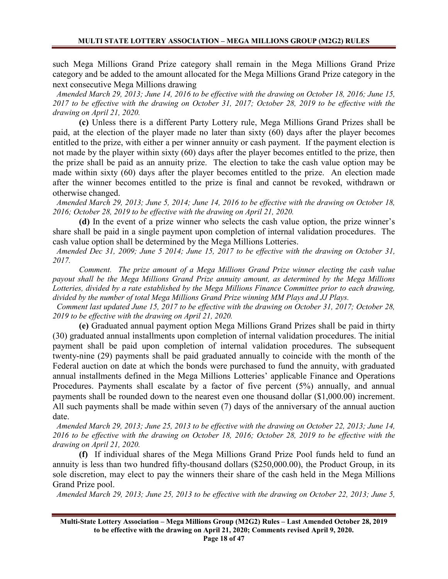such Mega Millions Grand Prize category shall remain in the Mega Millions Grand Prize category and be added to the amount allocated for the Mega Millions Grand Prize category in the next consecutive Mega Millions drawing

 *Amended March 29, 2013; June 14, 2016 to be effective with the drawing on October 18, 2016; June 15, 2017 to be effective with the drawing on October 31, 2017; October 28, 2019 to be effective with the drawing on April 21, 2020.*

**(c)** Unless there is a different Party Lottery rule, Mega Millions Grand Prizes shall be paid, at the election of the player made no later than sixty (60) days after the player becomes entitled to the prize, with either a per winner annuity or cash payment. If the payment election is not made by the player within sixty (60) days after the player becomes entitled to the prize, then the prize shall be paid as an annuity prize. The election to take the cash value option may be made within sixty (60) days after the player becomes entitled to the prize. An election made after the winner becomes entitled to the prize is final and cannot be revoked, withdrawn or otherwise changed.

 *Amended March 29, 2013; June 5, 2014; June 14, 2016 to be effective with the drawing on October 18, 2016; October 28, 2019 to be effective with the drawing on April 21, 2020.*

**(d)** In the event of a prize winner who selects the cash value option, the prize winner's share shall be paid in a single payment upon completion of internal validation procedures. The cash value option shall be determined by the Mega Millions Lotteries.

 *Amended Dec 31, 2009; June 5 2014; June 15, 2017 to be effective with the drawing on October 31, 2017.*

*Comment. The prize amount of a Mega Millions Grand Prize winner electing the cash value payout shall be the Mega Millions Grand Prize annuity amount, as determined by the Mega Millions Lotteries, divided by a rate established by the Mega Millions Finance Committee prior to each drawing, divided by the number of total Mega Millions Grand Prize winning MM Plays and JJ Plays.* 

 *Comment last updated June 15, 2017 to be effective with the drawing on October 31, 2017; October 28, 2019 to be effective with the drawing on April 21, 2020.*

**(e)** Graduated annual payment option Mega Millions Grand Prizes shall be paid in thirty (30) graduated annual installments upon completion of internal validation procedures. The initial payment shall be paid upon completion of internal validation procedures. The subsequent twenty-nine (29) payments shall be paid graduated annually to coincide with the month of the Federal auction on date at which the bonds were purchased to fund the annuity, with graduated annual installments defined in the Mega Millions Lotteries' applicable Finance and Operations Procedures. Payments shall escalate by a factor of five percent (5%) annually, and annual payments shall be rounded down to the nearest even one thousand dollar (\$1,000.00) increment. All such payments shall be made within seven (7) days of the anniversary of the annual auction date.

 *Amended March 29, 2013; June 25, 2013 to be effective with the drawing on October 22, 2013; June 14, 2016 to be effective with the drawing on October 18, 2016; October 28, 2019 to be effective with the drawing on April 21, 2020.*

**(f)** If individual shares of the Mega Millions Grand Prize Pool funds held to fund an annuity is less than two hundred fifty-thousand dollars (\$250,000.00), the Product Group, in its sole discretion, may elect to pay the winners their share of the cash held in the Mega Millions Grand Prize pool.

 *Amended March 29, 2013; June 25, 2013 to be effective with the drawing on October 22, 2013; June 5,* 

**Multi-State Lottery Association – Mega Millions Group (M2G2) Rules – Last Amended October 28, 2019 to be effective with the drawing on April 21, 2020; Comments revised April 9, 2020. Page 18 of 47**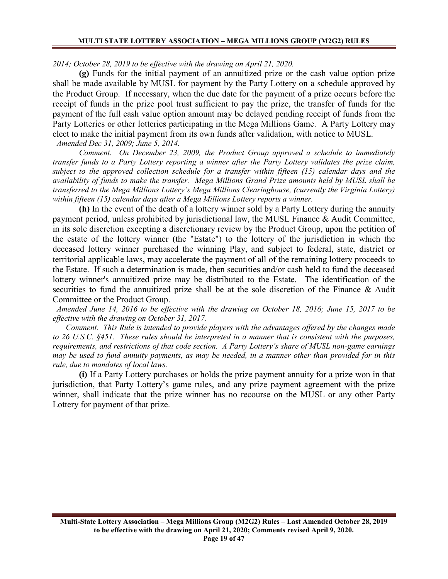#### *2014; October 28, 2019 to be effective with the drawing on April 21, 2020.*

**(g)** Funds for the initial payment of an annuitized prize or the cash value option prize shall be made available by MUSL for payment by the Party Lottery on a schedule approved by the Product Group. If necessary, when the due date for the payment of a prize occurs before the receipt of funds in the prize pool trust sufficient to pay the prize, the transfer of funds for the payment of the full cash value option amount may be delayed pending receipt of funds from the Party Lotteries or other lotteries participating in the Mega Millions Game. A Party Lottery may elect to make the initial payment from its own funds after validation, with notice to MUSL.  *Amended Dec 31, 2009; June 5, 2014.*

*Comment. On December 23, 2009, the Product Group approved a schedule to immediately transfer funds to a Party Lottery reporting a winner after the Party Lottery validates the prize claim, subject to the approved collection schedule for a transfer within fifteen (15) calendar days and the availability of funds to make the transfer. Mega Millions Grand Prize amounts held by MUSL shall be transferred to the Mega Millions Lottery's Mega Millions Clearinghouse, (currently the Virginia Lottery) within fifteen (15) calendar days after a Mega Millions Lottery reports a winner.*

**(h)** In the event of the death of a lottery winner sold by a Party Lottery during the annuity payment period, unless prohibited by jurisdictional law, the MUSL Finance & Audit Committee, in its sole discretion excepting a discretionary review by the Product Group, upon the petition of the estate of the lottery winner (the "Estate") to the lottery of the jurisdiction in which the deceased lottery winner purchased the winning Play, and subject to federal, state, district or territorial applicable laws, may accelerate the payment of all of the remaining lottery proceeds to the Estate. If such a determination is made, then securities and/or cash held to fund the deceased lottery winner's annuitized prize may be distributed to the Estate. The identification of the securities to fund the annuitized prize shall be at the sole discretion of the Finance & Audit Committee or the Product Group.

 *Amended June 14, 2016 to be effective with the drawing on October 18, 2016; June 15, 2017 to be effective with the drawing on October 31, 2017.*

*Comment. This Rule is intended to provide players with the advantages offered by the changes made to 26 U.S.C. §451. These rules should be interpreted in a manner that is consistent with the purposes, requirements, and restrictions of that code section. A Party Lottery's share of MUSL non-game earnings may be used to fund annuity payments, as may be needed, in a manner other than provided for in this rule, due to mandates of local laws.*

**(i)** If a Party Lottery purchases or holds the prize payment annuity for a prize won in that jurisdiction, that Party Lottery's game rules, and any prize payment agreement with the prize winner, shall indicate that the prize winner has no recourse on the MUSL or any other Party Lottery for payment of that prize.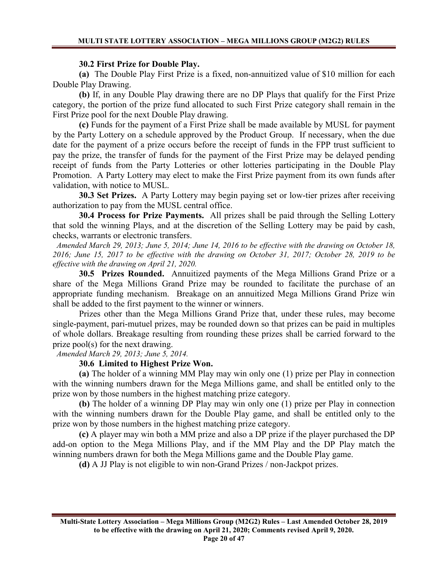#### **30.2 First Prize for Double Play.**

**(a)** The Double Play First Prize is a fixed, non-annuitized value of \$10 million for each Double Play Drawing.

**(b)** If, in any Double Play drawing there are no DP Plays that qualify for the First Prize category, the portion of the prize fund allocated to such First Prize category shall remain in the First Prize pool for the next Double Play drawing.

**(c)** Funds for the payment of a First Prize shall be made available by MUSL for payment by the Party Lottery on a schedule approved by the Product Group. If necessary, when the due date for the payment of a prize occurs before the receipt of funds in the FPP trust sufficient to pay the prize, the transfer of funds for the payment of the First Prize may be delayed pending receipt of funds from the Party Lotteries or other lotteries participating in the Double Play Promotion. A Party Lottery may elect to make the First Prize payment from its own funds after validation, with notice to MUSL.

**30.3 Set Prizes.** A Party Lottery may begin paying set or low-tier prizes after receiving authorization to pay from the MUSL central office.

**30.4 Process for Prize Payments.** All prizes shall be paid through the Selling Lottery that sold the winning Plays, and at the discretion of the Selling Lottery may be paid by cash, checks, warrants or electronic transfers.

 *Amended March 29, 2013; June 5, 2014; June 14, 2016 to be effective with the drawing on October 18, 2016; June 15, 2017 to be effective with the drawing on October 31, 2017; October 28, 2019 to be effective with the drawing on April 21, 2020.*

**30.5 Prizes Rounded.** Annuitized payments of the Mega Millions Grand Prize or a share of the Mega Millions Grand Prize may be rounded to facilitate the purchase of an appropriate funding mechanism. Breakage on an annuitized Mega Millions Grand Prize win shall be added to the first payment to the winner or winners.

Prizes other than the Mega Millions Grand Prize that, under these rules, may become single-payment, pari-mutuel prizes, may be rounded down so that prizes can be paid in multiples of whole dollars. Breakage resulting from rounding these prizes shall be carried forward to the prize pool(s) for the next drawing.

 *Amended March 29, 2013; June 5, 2014.*

### **30.6 Limited to Highest Prize Won.**

**(a)** The holder of a winning MM Play may win only one (1) prize per Play in connection with the winning numbers drawn for the Mega Millions game, and shall be entitled only to the prize won by those numbers in the highest matching prize category.

**(b)** The holder of a winning DP Play may win only one (1) prize per Play in connection with the winning numbers drawn for the Double Play game, and shall be entitled only to the prize won by those numbers in the highest matching prize category.

**(c)** A player may win both a MM prize and also a DP prize if the player purchased the DP add-on option to the Mega Millions Play, and if the MM Play and the DP Play match the winning numbers drawn for both the Mega Millions game and the Double Play game.

**(d)** A JJ Play is not eligible to win non-Grand Prizes / non-Jackpot prizes.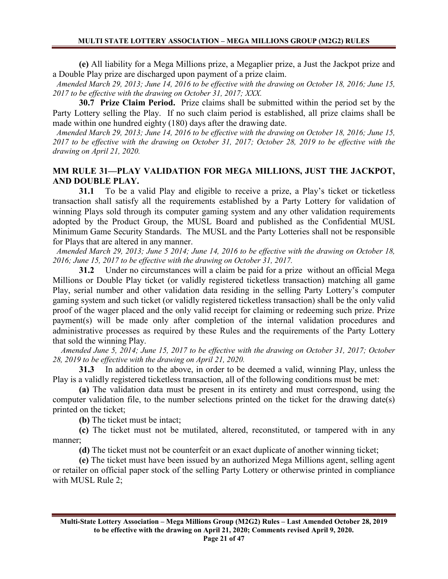**(e)** All liability for a Mega Millions prize, a Megaplier prize, a Just the Jackpot prize and a Double Play prize are discharged upon payment of a prize claim.

 *Amended March 29, 2013; June 14, 2016 to be effective with the drawing on October 18, 2016; June 15, 2017 to be effective with the drawing on October 31, 2017; XXX.*

**30.7 Prize Claim Period.** Prize claims shall be submitted within the period set by the Party Lottery selling the Play. If no such claim period is established, all prize claims shall be made within one hundred eighty (180) days after the drawing date.

 *Amended March 29, 2013; June 14, 2016 to be effective with the drawing on October 18, 2016; June 15, 2017 to be effective with the drawing on October 31, 2017; October 28, 2019 to be effective with the drawing on April 21, 2020.*

# **MM RULE 31—PLAY VALIDATION FOR MEGA MILLIONS, JUST THE JACKPOT, AND DOUBLE PLAY.**

**31.1** To be a valid Play and eligible to receive a prize, a Play's ticket or ticketless transaction shall satisfy all the requirements established by a Party Lottery for validation of winning Plays sold through its computer gaming system and any other validation requirements adopted by the Product Group, the MUSL Board and published as the Confidential MUSL Minimum Game Security Standards. The MUSL and the Party Lotteries shall not be responsible for Plays that are altered in any manner.

 *Amended March 29, 2013; June 5 2014; June 14, 2016 to be effective with the drawing on October 18, 2016; June 15, 2017 to be effective with the drawing on October 31, 2017.*

**31.2** Under no circumstances will a claim be paid for a prize without an official Mega Millions or Double Play ticket (or validly registered ticketless transaction) matching all game Play, serial number and other validation data residing in the selling Party Lottery's computer gaming system and such ticket (or validly registered ticketless transaction) shall be the only valid proof of the wager placed and the only valid receipt for claiming or redeeming such prize. Prize payment(s) will be made only after completion of the internal validation procedures and administrative processes as required by these Rules and the requirements of the Party Lottery that sold the winning Play.

 *Amended June 5, 2014; June 15, 2017 to be effective with the drawing on October 31, 2017; October 28, 2019 to be effective with the drawing on April 21, 2020.*

**31.3** In addition to the above, in order to be deemed a valid, winning Play, unless the Play is a validly registered ticketless transaction, all of the following conditions must be met:

**(a)** The validation data must be present in its entirety and must correspond, using the computer validation file, to the number selections printed on the ticket for the drawing date(s) printed on the ticket;

**(b)** The ticket must be intact;

**(c)** The ticket must not be mutilated, altered, reconstituted, or tampered with in any manner;

**(d)** The ticket must not be counterfeit or an exact duplicate of another winning ticket;

**(e)** The ticket must have been issued by an authorized Mega Millions agent, selling agent or retailer on official paper stock of the selling Party Lottery or otherwise printed in compliance with MUSL Rule 2;

**Multi-State Lottery Association – Mega Millions Group (M2G2) Rules – Last Amended October 28, 2019 to be effective with the drawing on April 21, 2020; Comments revised April 9, 2020. Page 21 of 47**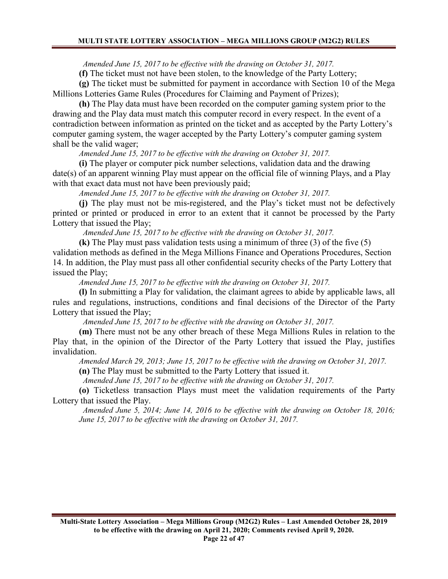*Amended June 15, 2017 to be effective with the drawing on October 31, 2017.*

**(f)** The ticket must not have been stolen, to the knowledge of the Party Lottery;

**(g)** The ticket must be submitted for payment in accordance with Section 10 of the Mega Millions Lotteries Game Rules (Procedures for Claiming and Payment of Prizes);

**(h)** The Play data must have been recorded on the computer gaming system prior to the drawing and the Play data must match this computer record in every respect. In the event of a contradiction between information as printed on the ticket and as accepted by the Party Lottery's computer gaming system, the wager accepted by the Party Lottery's computer gaming system shall be the valid wager;

*Amended June 15, 2017 to be effective with the drawing on October 31, 2017.*

**(i)** The player or computer pick number selections, validation data and the drawing date(s) of an apparent winning Play must appear on the official file of winning Plays, and a Play with that exact data must not have been previously paid;

*Amended June 15, 2017 to be effective with the drawing on October 31, 2017.*

**(j)** The play must not be mis-registered, and the Play's ticket must not be defectively printed or printed or produced in error to an extent that it cannot be processed by the Party Lottery that issued the Play;

 *Amended June 15, 2017 to be effective with the drawing on October 31, 2017.*

**(k)** The Play must pass validation tests using a minimum of three (3) of the five (5) validation methods as defined in the Mega Millions Finance and Operations Procedures, Section 14. In addition, the Play must pass all other confidential security checks of the Party Lottery that issued the Play;

*Amended June 15, 2017 to be effective with the drawing on October 31, 2017.*

**(l)** In submitting a Play for validation, the claimant agrees to abide by applicable laws, all rules and regulations, instructions, conditions and final decisions of the Director of the Party Lottery that issued the Play;

 *Amended June 15, 2017 to be effective with the drawing on October 31, 2017.*

**(m)** There must not be any other breach of these Mega Millions Rules in relation to the Play that, in the opinion of the Director of the Party Lottery that issued the Play, justifies invalidation.

*Amended March 29, 2013; June 15, 2017 to be effective with the drawing on October 31, 2017.*

**(n)** The Play must be submitted to the Party Lottery that issued it.

 *Amended June 15, 2017 to be effective with the drawing on October 31, 2017.*

**(o)** Ticketless transaction Plays must meet the validation requirements of the Party Lottery that issued the Play.

 *Amended June 5, 2014; June 14, 2016 to be effective with the drawing on October 18, 2016; June 15, 2017 to be effective with the drawing on October 31, 2017.*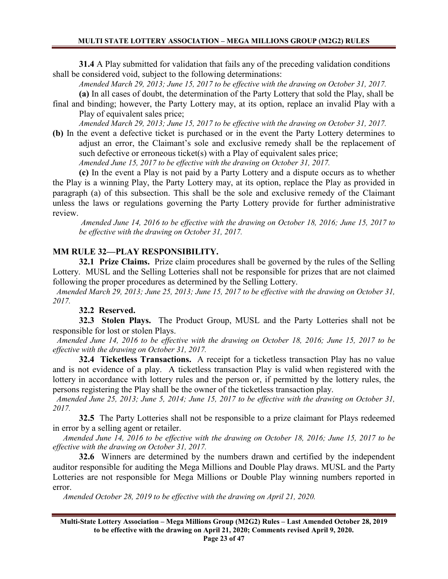**31.4** A Play submitted for validation that fails any of the preceding validation conditions shall be considered void, subject to the following determinations:

*Amended March 29, 2013; June 15, 2017 to be effective with the drawing on October 31, 2017.*

**(a)** In all cases of doubt, the determination of the Party Lottery that sold the Play, shall be

final and binding; however, the Party Lottery may, at its option, replace an invalid Play with a Play of equivalent sales price;

*Amended March 29, 2013; June 15, 2017 to be effective with the drawing on October 31, 2017.*

**(b)** In the event a defective ticket is purchased or in the event the Party Lottery determines to adjust an error, the Claimant's sole and exclusive remedy shall be the replacement of such defective or erroneous ticket(s) with a Play of equivalent sales price;

*Amended June 15, 2017 to be effective with the drawing on October 31, 2017.*

**(c)** In the event a Play is not paid by a Party Lottery and a dispute occurs as to whether the Play is a winning Play, the Party Lottery may, at its option, replace the Play as provided in paragraph (a) of this subsection. This shall be the sole and exclusive remedy of the Claimant unless the laws or regulations governing the Party Lottery provide for further administrative review.

*Amended June 14, 2016 to be effective with the drawing on October 18, 2016; June 15, 2017 to be effective with the drawing on October 31, 2017.*

# **MM RULE 32—PLAY RESPONSIBILITY.**

**32.1 Prize Claims.** Prize claim procedures shall be governed by the rules of the Selling Lottery.MUSL and the Selling Lotteries shall not be responsible for prizes that are not claimed following the proper procedures as determined by the Selling Lottery.

 *Amended March 29, 2013; June 25, 2013; June 15, 2017 to be effective with the drawing on October 31, 2017.*

# **32.2 Reserved.**

**32.3 Stolen Plays.** The Product Group, MUSL and the Party Lotteries shall not be responsible for lost or stolen Plays.

 *Amended June 14, 2016 to be effective with the drawing on October 18, 2016; June 15, 2017 to be effective with the drawing on October 31, 2017.*

**32.4 Ticketless Transactions.** A receipt for a ticketless transaction Play has no value and is not evidence of a play. A ticketless transaction Play is valid when registered with the lottery in accordance with lottery rules and the person or, if permitted by the lottery rules, the persons registering the Play shall be the owner of the ticketless transaction play.

 *Amended June 25, 2013; June 5, 2014; June 15, 2017 to be effective with the drawing on October 31, 2017.*

**32.5** The Party Lotteries shall not be responsible to a prize claimant for Plays redeemed in error by a selling agent or retailer.

*Amended June 14, 2016 to be effective with the drawing on October 18, 2016; June 15, 2017 to be effective with the drawing on October 31, 2017.*

**32.6** Winners are determined by the numbers drawn and certified by the independent auditor responsible for auditing the Mega Millions and Double Play draws. MUSL and the Party Lotteries are not responsible for Mega Millions or Double Play winning numbers reported in error.

*Amended October 28, 2019 to be effective with the drawing on April 21, 2020.*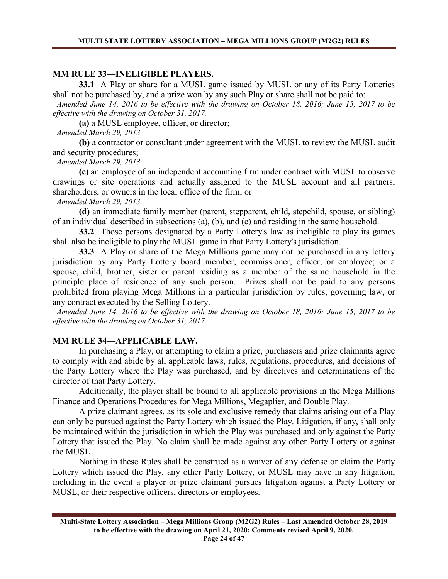### **MM RULE 33—INELIGIBLE PLAYERS.**

**33.1** A Play or share for a MUSL game issued by MUSL or any of its Party Lotteries shall not be purchased by, and a prize won by any such Play or share shall not be paid to:

 *Amended June 14, 2016 to be effective with the drawing on October 18, 2016; June 15, 2017 to be effective with the drawing on October 31, 2017.*

**(a)** a MUSL employee, officer, or director;

 *Amended March 29, 2013.*

**(b)** a contractor or consultant under agreement with the MUSL to review the MUSL audit and security procedures;

 *Amended March 29, 2013.*

**(c)** an employee of an independent accounting firm under contract with MUSL to observe drawings or site operations and actually assigned to the MUSL account and all partners, shareholders, or owners in the local office of the firm; or

 *Amended March 29, 2013.*

**(d)** an immediate family member (parent, stepparent, child, stepchild, spouse, or sibling) of an individual described in subsections (a), (b), and (c) and residing in the same household.

**33.2** Those persons designated by a Party Lottery's law as ineligible to play its games shall also be ineligible to play the MUSL game in that Party Lottery's jurisdiction.

**33.3** A Play or share of the Mega Millions game may not be purchased in any lottery jurisdiction by any Party Lottery board member, commissioner, officer, or employee; or a spouse, child, brother, sister or parent residing as a member of the same household in the principle place of residence of any such person. Prizes shall not be paid to any persons prohibited from playing Mega Millions in a particular jurisdiction by rules, governing law, or any contract executed by the Selling Lottery.

 *Amended June 14, 2016 to be effective with the drawing on October 18, 2016; June 15, 2017 to be effective with the drawing on October 31, 2017.*

### **MM RULE 34—APPLICABLE LAW.**

In purchasing a Play, or attempting to claim a prize, purchasers and prize claimants agree to comply with and abide by all applicable laws, rules, regulations, procedures, and decisions of the Party Lottery where the Play was purchased, and by directives and determinations of the director of that Party Lottery.

Additionally, the player shall be bound to all applicable provisions in the Mega Millions Finance and Operations Procedures for Mega Millions, Megaplier, and Double Play.

A prize claimant agrees, as its sole and exclusive remedy that claims arising out of a Play can only be pursued against the Party Lottery which issued the Play. Litigation, if any, shall only be maintained within the jurisdiction in which the Play was purchased and only against the Party Lottery that issued the Play. No claim shall be made against any other Party Lottery or against the MUSL.

Nothing in these Rules shall be construed as a waiver of any defense or claim the Party Lottery which issued the Play, any other Party Lottery, or MUSL may have in any litigation, including in the event a player or prize claimant pursues litigation against a Party Lottery or MUSL, or their respective officers, directors or employees.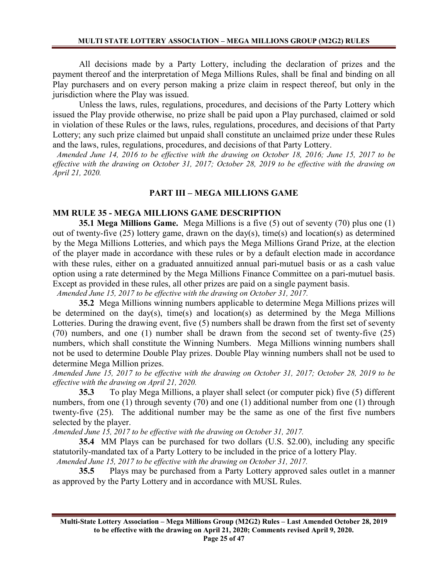All decisions made by a Party Lottery, including the declaration of prizes and the payment thereof and the interpretation of Mega Millions Rules, shall be final and binding on all Play purchasers and on every person making a prize claim in respect thereof, but only in the jurisdiction where the Play was issued.

Unless the laws, rules, regulations, procedures, and decisions of the Party Lottery which issued the Play provide otherwise, no prize shall be paid upon a Play purchased, claimed or sold in violation of these Rules or the laws, rules, regulations, procedures, and decisions of that Party Lottery; any such prize claimed but unpaid shall constitute an unclaimed prize under these Rules and the laws, rules, regulations, procedures, and decisions of that Party Lottery.

 *Amended June 14, 2016 to be effective with the drawing on October 18, 2016; June 15, 2017 to be effective with the drawing on October 31, 2017; October 28, 2019 to be effective with the drawing on April 21, 2020.*

### **PART III – MEGA MILLIONS GAME**

### **MM RULE 35 - MEGA MILLIONS GAME DESCRIPTION**

**35.1 Mega Millions Game.** Mega Millions is a five (5) out of seventy (70) plus one (1) out of twenty-five (25) lottery game, drawn on the day(s), time(s) and location(s) as determined by the Mega Millions Lotteries, and which pays the Mega Millions Grand Prize, at the election of the player made in accordance with these rules or by a default election made in accordance with these rules, either on a graduated annuitized annual pari-mutuel basis or as a cash value option using a rate determined by the Mega Millions Finance Committee on a pari-mutuel basis. Except as provided in these rules, all other prizes are paid on a single payment basis.

*Amended June 15, 2017 to be effective with the drawing on October 31, 2017.*

**35.2** Mega Millions winning numbers applicable to determine Mega Millions prizes will be determined on the day(s), time(s) and location(s) as determined by the Mega Millions Lotteries. During the drawing event, five (5) numbers shall be drawn from the first set of seventy (70) numbers, and one (1) number shall be drawn from the second set of twenty-five (25) numbers, which shall constitute the Winning Numbers. Mega Millions winning numbers shall not be used to determine Double Play prizes. Double Play winning numbers shall not be used to determine Mega Million prizes.

*Amended June 15, 2017 to be effective with the drawing on October 31, 2017; October 28, 2019 to be effective with the drawing on April 21, 2020.*

**35.3** To play Mega Millions, a player shall select (or computer pick) five (5) different numbers, from one (1) through seventy (70) and one (1) additional number from one (1) through twenty-five (25). The additional number may be the same as one of the first five numbers selected by the player.

*Amended June 15, 2017 to be effective with the drawing on October 31, 2017.*

**35.4** MM Plays can be purchased for two dollars (U.S. \$2.00), including any specific statutorily-mandated tax of a Party Lottery to be included in the price of a lottery Play.

 *Amended June 15, 2017 to be effective with the drawing on October 31, 2017.*

**35.5** Plays may be purchased from a Party Lottery approved sales outlet in a manner as approved by the Party Lottery and in accordance with MUSL Rules.

**Multi-State Lottery Association – Mega Millions Group (M2G2) Rules – Last Amended October 28, 2019 to be effective with the drawing on April 21, 2020; Comments revised April 9, 2020. Page 25 of 47**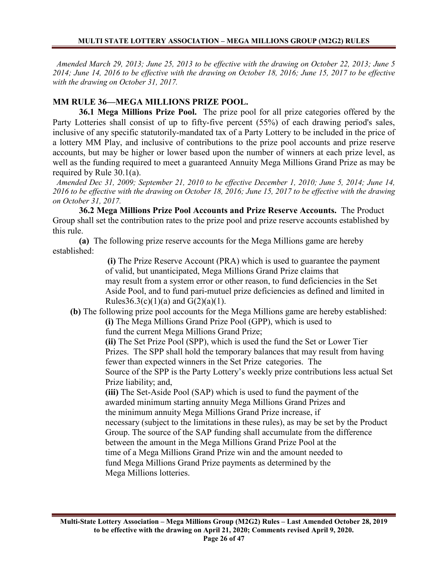*Amended March 29, 2013; June 25, 2013 to be effective with the drawing on October 22, 2013; June 5 2014; June 14, 2016 to be effective with the drawing on October 18, 2016; June 15, 2017 to be effective with the drawing on October 31, 2017.*

# **MM RULE 36—MEGA MILLIONS PRIZE POOL.**

**36.1 Mega Millions Prize Pool.** The prize pool for all prize categories offered by the Party Lotteries shall consist of up to fifty-five percent (55%) of each drawing period's sales, inclusive of any specific statutorily-mandated tax of a Party Lottery to be included in the price of a lottery MM Play, and inclusive of contributions to the prize pool accounts and prize reserve accounts, but may be higher or lower based upon the number of winners at each prize level, as well as the funding required to meet a guaranteed Annuity Mega Millions Grand Prize as may be required by Rule 30.1(a).

 *Amended Dec 31, 2009; September 21, 2010 to be effective December 1, 2010; June 5, 2014; June 14, 2016 to be effective with the drawing on October 18, 2016; June 15, 2017 to be effective with the drawing on October 31, 2017.*

**36.2 Mega Millions Prize Pool Accounts and Prize Reserve Accounts.** The Product Group shall set the contribution rates to the prize pool and prize reserve accounts established by this rule.

**(a)** The following prize reserve accounts for the Mega Millions game are hereby established:

> **(i)** The Prize Reserve Account (PRA) which is used to guarantee the payment of valid, but unanticipated, Mega Millions Grand Prize claims that may result from a system error or other reason, to fund deficiencies in the Set Aside Pool, and to fund pari-mutuel prize deficiencies as defined and limited in Rules  $36.3(c)(1)(a)$  and  $G(2)(a)(1)$ .

 **(b)** The following prize pool accounts for the Mega Millions game are hereby established:

**(i)** The Mega Millions Grand Prize Pool (GPP), which is used to fund the current Mega Millions Grand Prize;

**(ii)** The Set Prize Pool (SPP), which is used the fund the Set or Lower Tier Prizes. The SPP shall hold the temporary balances that may result from having fewer than expected winners in the Set Prize categories. The

Source of the SPP is the Party Lottery's weekly prize contributions less actual Set Prize liability; and,

**(iii)** The Set-Aside Pool (SAP) which is used to fund the payment of the awarded minimum starting annuity Mega Millions Grand Prizes and the minimum annuity Mega Millions Grand Prize increase, if necessary (subject to the limitations in these rules), as may be set by the Product Group. The source of the SAP funding shall accumulate from the difference between the amount in the Mega Millions Grand Prize Pool at the time of a Mega Millions Grand Prize win and the amount needed to fund Mega Millions Grand Prize payments as determined by the

Mega Millions lotteries.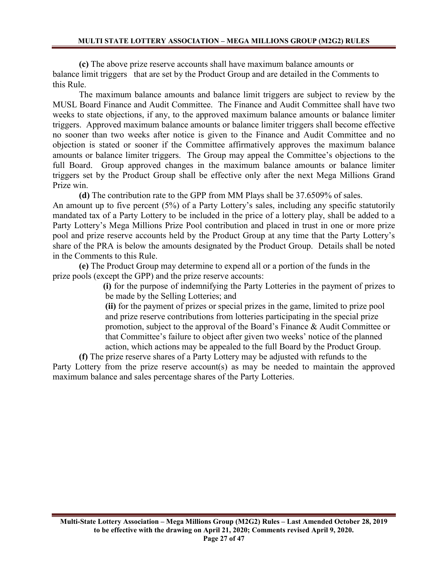**(c)** The above prize reserve accounts shall have maximum balance amounts or balance limit triggers that are set by the Product Group and are detailed in the Comments to this Rule.

The maximum balance amounts and balance limit triggers are subject to review by the MUSL Board Finance and Audit Committee. The Finance and Audit Committee shall have two weeks to state objections, if any, to the approved maximum balance amounts or balance limiter triggers. Approved maximum balance amounts or balance limiter triggers shall become effective no sooner than two weeks after notice is given to the Finance and Audit Committee and no objection is stated or sooner if the Committee affirmatively approves the maximum balance amounts or balance limiter triggers. The Group may appeal the Committee's objections to the full Board. Group approved changes in the maximum balance amounts or balance limiter triggers set by the Product Group shall be effective only after the next Mega Millions Grand Prize win.

**(d)** The contribution rate to the GPP from MM Plays shall be 37.6509% of sales. An amount up to five percent (5%) of a Party Lottery's sales, including any specific statutorily mandated tax of a Party Lottery to be included in the price of a lottery play, shall be added to a Party Lottery's Mega Millions Prize Pool contribution and placed in trust in one or more prize pool and prize reserve accounts held by the Product Group at any time that the Party Lottery's share of the PRA is below the amounts designated by the Product Group. Details shall be noted in the Comments to this Rule.

**(e)** The Product Group may determine to expend all or a portion of the funds in the prize pools (except the GPP) and the prize reserve accounts:

> **(i)** for the purpose of indemnifying the Party Lotteries in the payment of prizes to be made by the Selling Lotteries; and

**(ii)** for the payment of prizes or special prizes in the game, limited to prize pool and prize reserve contributions from lotteries participating in the special prize promotion, subject to the approval of the Board's Finance & Audit Committee or that Committee's failure to object after given two weeks' notice of the planned action, which actions may be appealed to the full Board by the Product Group.

**(f)** The prize reserve shares of a Party Lottery may be adjusted with refunds to the Party Lottery from the prize reserve account(s) as may be needed to maintain the approved maximum balance and sales percentage shares of the Party Lotteries.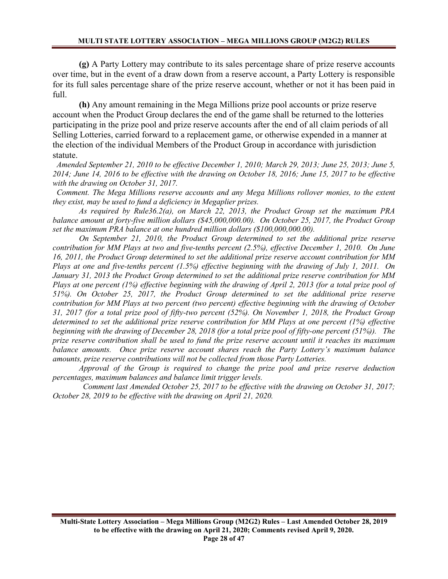**(g)** A Party Lottery may contribute to its sales percentage share of prize reserve accounts over time, but in the event of a draw down from a reserve account, a Party Lottery is responsible for its full sales percentage share of the prize reserve account, whether or not it has been paid in full.

**(h)** Any amount remaining in the Mega Millions prize pool accounts or prize reserve account when the Product Group declares the end of the game shall be returned to the lotteries participating in the prize pool and prize reserve accounts after the end of all claim periods of all Selling Lotteries, carried forward to a replacement game, or otherwise expended in a manner at the election of the individual Members of the Product Group in accordance with jurisdiction statute.

 *Amended September 21, 2010 to be effective December 1, 2010; March 29, 2013; June 25, 2013; June 5, 2014; June 14, 2016 to be effective with the drawing on October 18, 2016; June 15, 2017 to be effective with the drawing on October 31, 2017.*

 *Comment. The Mega Millions reserve accounts and any Mega Millions rollover monies, to the extent they exist, may be used to fund a deficiency in Megaplier prizes.* 

*As required by Rule36.2(a), on March 22, 2013, the Product Group set the maximum PRA balance amount at forty-five million dollars (\$45,000,000.00). On October 25, 2017, the Product Group set the maximum PRA balance at one hundred million dollars (\$100,000,000.00).* 

*On September 21, 2010, the Product Group determined to set the additional prize reserve contribution for MM Plays at two and five-tenths percent (2.5%), effective December 1, 2010. On June 16, 2011, the Product Group determined to set the additional prize reserve account contribution for MM Plays at one and five-tenths percent (1.5%) effective beginning with the drawing of July 1, 2011. On January 31, 2013 the Product Group determined to set the additional prize reserve contribution for MM Plays at one percent (1%) effective beginning with the drawing of April 2, 2013 (for a total prize pool of 51%). On October 25, 2017, the Product Group determined to set the additional prize reserve contribution for MM Plays at two percent (two percent) effective beginning with the drawing of October 31, 2017 (for a total prize pool of fifty-two percent (52%). On November 1, 2018, the Product Group determined to set the additional prize reserve contribution for MM Plays at one percent (1%) effective beginning with the drawing of December 28, 2018 (for a total prize pool of fifty-one percent (51%)). The prize reserve contribution shall be used to fund the prize reserve account until it reaches its maximum balance amounts. Once prize reserve account shares reach the Party Lottery's maximum balance amounts, prize reserve contributions will not be collected from those Party Lotteries.*

*Approval of the Group is required to change the prize pool and prize reserve deduction percentages, maximum balances and balance limit trigger levels.*

 *Comment last Amended October 25, 2017 to be effective with the drawing on October 31, 2017; October 28, 2019 to be effective with the drawing on April 21, 2020.*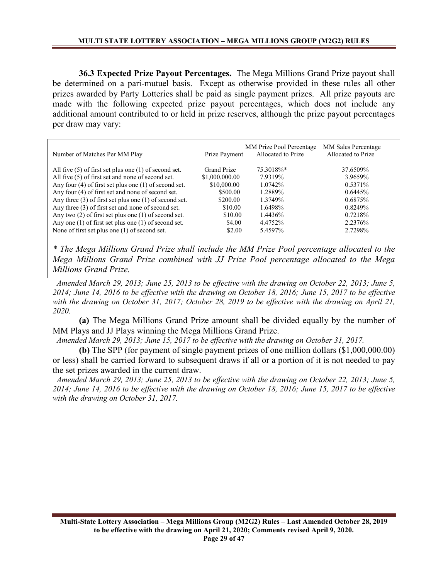**36.3 Expected Prize Payout Percentages.** The Mega Millions Grand Prize payout shall be determined on a pari-mutuel basis. Except as otherwise provided in these rules all other prizes awarded by Party Lotteries shall be paid as single payment prizes. All prize payouts are made with the following expected prize payout percentages, which does not include any additional amount contributed to or held in prize reserves, although the prize payout percentages per draw may vary:

| Number of Matches Per MM Play                              | Prize Payment      | MM Prize Pool Percentage<br>Allocated to Prize | <b>MM Sales Percentage</b><br>Allocated to Prize |
|------------------------------------------------------------|--------------------|------------------------------------------------|--------------------------------------------------|
| All five $(5)$ of first set plus one $(1)$ of second set.  | <b>Grand Prize</b> | 75.3018%*                                      | 37.6509%                                         |
| All five (5) of first set and none of second set.          | \$1,000,000.00     | 7.9319%                                        | 3.9659%                                          |
| Any four $(4)$ of first set plus one $(1)$ of second set.  | \$10,000.00        | 1.0742%                                        | 0.5371%                                          |
| Any four (4) of first set and none of second set.          | \$500.00           | 1.2889%                                        | 0.6445%                                          |
| Any three $(3)$ of first set plus one $(1)$ of second set. | \$200.00           | 1.3749%                                        | $0.6875\%$                                       |
| Any three (3) of first set and none of second set.         | \$10.00            | 1.6498%                                        | 0.8249%                                          |
| Any two $(2)$ of first set plus one $(1)$ of second set.   | \$10.00            | 1.4436%                                        | 0.7218\%                                         |
| Any one $(1)$ of first set plus one $(1)$ of second set.   | \$4.00             | 4.4752%                                        | 2.2376%                                          |
| None of first set plus one (1) of second set.              | \$2.00             | 5.4597%                                        | 2.7298%                                          |

*\* The Mega Millions Grand Prize shall include the MM Prize Pool percentage allocated to the Mega Millions Grand Prize combined with JJ Prize Pool percentage allocated to the Mega Millions Grand Prize.*

 *Amended March 29, 2013; June 25, 2013 to be effective with the drawing on October 22, 2013; June 5, 2014; June 14, 2016 to be effective with the drawing on October 18, 2016; June 15, 2017 to be effective with the drawing on October 31, 2017; October 28, 2019 to be effective with the drawing on April 21, 2020.*

**(a)** The Mega Millions Grand Prize amount shall be divided equally by the number of MM Plays and JJ Plays winning the Mega Millions Grand Prize.

 *Amended March 29, 2013; June 15, 2017 to be effective with the drawing on October 31, 2017.*

**(b)** The SPP (for payment of single payment prizes of one million dollars (\$1,000,000.00) or less) shall be carried forward to subsequent draws if all or a portion of it is not needed to pay the set prizes awarded in the current draw.

 *Amended March 29, 2013; June 25, 2013 to be effective with the drawing on October 22, 2013; June 5, 2014; June 14, 2016 to be effective with the drawing on October 18, 2016; June 15, 2017 to be effective with the drawing on October 31, 2017.*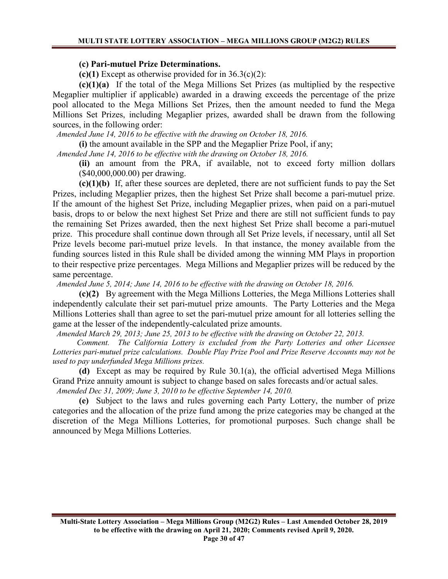#### **(c) Pari-mutuel Prize Determinations.**

**(c)(1)** Except as otherwise provided for in 36.3(c)(2):

**(c)(1)(a)** If the total of the Mega Millions Set Prizes (as multiplied by the respective Megaplier multiplier if applicable) awarded in a drawing exceeds the percentage of the prize pool allocated to the Mega Millions Set Prizes, then the amount needed to fund the Mega Millions Set Prizes, including Megaplier prizes, awarded shall be drawn from the following sources, in the following order:

 *Amended June 14, 2016 to be effective with the drawing on October 18, 2016.*

**(i)** the amount available in the SPP and the Megaplier Prize Pool, if any;

*Amended June 14, 2016 to be effective with the drawing on October 18, 2016.*

**(ii)** an amount from the PRA, if available, not to exceed forty million dollars (\$40,000,000.00) per drawing.

**(c)(1)(b)** If, after these sources are depleted, there are not sufficient funds to pay the Set Prizes, including Megaplier prizes, then the highest Set Prize shall become a pari-mutuel prize. If the amount of the highest Set Prize, including Megaplier prizes, when paid on a pari-mutuel basis, drops to or below the next highest Set Prize and there are still not sufficient funds to pay the remaining Set Prizes awarded, then the next highest Set Prize shall become a pari-mutuel prize. This procedure shall continue down through all Set Prize levels, if necessary, until all Set Prize levels become pari-mutuel prize levels. In that instance, the money available from the funding sources listed in this Rule shall be divided among the winning MM Plays in proportion to their respective prize percentages. Mega Millions and Megaplier prizes will be reduced by the same percentage.

 *Amended June 5, 2014; June 14, 2016 to be effective with the drawing on October 18, 2016.*

**(c)(2)** By agreement with the Mega Millions Lotteries, the Mega Millions Lotteries shall independently calculate their set pari-mutuel prize amounts. The Party Lotteries and the Mega Millions Lotteries shall than agree to set the pari-mutuel prize amount for all lotteries selling the game at the lesser of the independently-calculated prize amounts.

 *Amended March 29, 2013; June 25, 2013 to be effective with the drawing on October 22, 2013.*

 *Comment. The California Lottery is excluded from the Party Lotteries and other Licensee Lotteries pari-mutuel prize calculations. Double Play Prize Pool and Prize Reserve Accounts may not be used to pay underfunded Mega Millions prizes.* 

**(d)** Except as may be required by Rule 30.1(a), the official advertised Mega Millions Grand Prize annuity amount is subject to change based on sales forecasts and/or actual sales.  *Amended Dec 31, 2009; June 3, 2010 to be effective September 14, 2010.*

**(e)** Subject to the laws and rules governing each Party Lottery, the number of prize categories and the allocation of the prize fund among the prize categories may be changed at the discretion of the Mega Millions Lotteries, for promotional purposes. Such change shall be announced by Mega Millions Lotteries.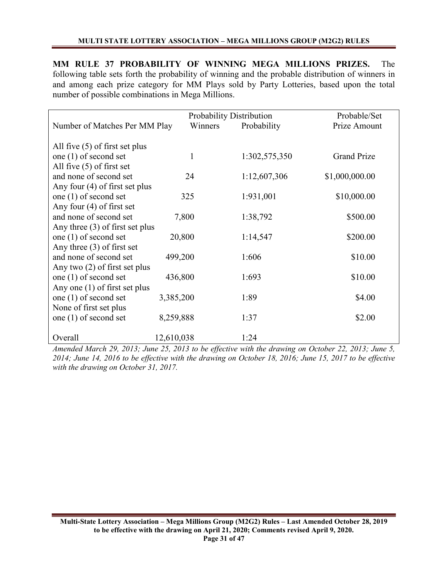**MM RULE 37 PROBABILITY OF WINNING MEGA MILLIONS PRIZES.** The following table sets forth the probability of winning and the probable distribution of winners in and among each prize category for MM Plays sold by Party Lotteries, based upon the total number of possible combinations in Mega Millions.

|                                   |              | Probability Distribution | Probable/Set       |
|-----------------------------------|--------------|--------------------------|--------------------|
| Number of Matches Per MM Play     | Winners      | Probability              | Prize Amount       |
|                                   |              |                          |                    |
| All five $(5)$ of first set plus  |              |                          |                    |
| one $(1)$ of second set           | $\mathbf{1}$ | 1:302,575,350            | <b>Grand Prize</b> |
| All five $(5)$ of first set       |              |                          |                    |
| and none of second set            | 24           | 1:12,607,306             | \$1,000,000.00     |
| Any four $(4)$ of first set plus  |              |                          |                    |
| one $(1)$ of second set           | 325          | 1:931,001                | \$10,000.00        |
| Any four $(4)$ of first set       |              |                          |                    |
| and none of second set            | 7,800        | 1:38,792                 | \$500.00           |
| Any three $(3)$ of first set plus |              |                          |                    |
| one $(1)$ of second set           | 20,800       | 1:14,547                 | \$200.00           |
| Any three $(3)$ of first set      |              |                          |                    |
| and none of second set            | 499,200      | 1:606                    | \$10.00            |
| Any two $(2)$ of first set plus   |              |                          |                    |
| one $(1)$ of second set           | 436,800      | 1:693                    | \$10.00            |
| Any one $(1)$ of first set plus   |              |                          |                    |
| one $(1)$ of second set           | 3,385,200    | 1:89                     | \$4.00             |
| None of first set plus            |              |                          |                    |
| one $(1)$ of second set           | 8,259,888    | 1:37                     | \$2.00             |
| Overall                           | 12,610,038   | 1:24                     |                    |

*Amended March 29, 2013; June 25, 2013 to be effective with the drawing on October 22, 2013; June 5, 2014; June 14, 2016 to be effective with the drawing on October 18, 2016; June 15, 2017 to be effective with the drawing on October 31, 2017.*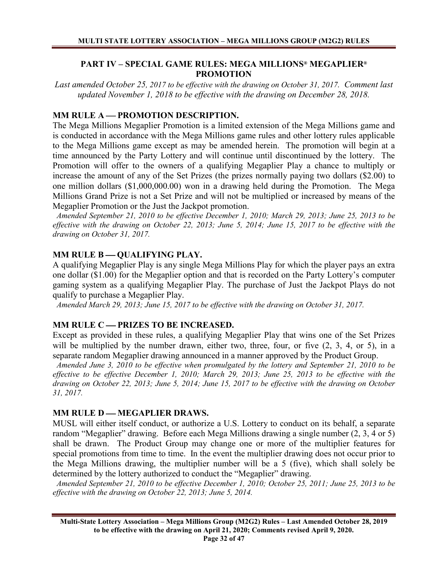# **PART IV – SPECIAL GAME RULES: MEGA MILLIONS® MEGAPLIER® PROMOTION**

*Last amended October 25, 2017 to be effective with the drawing on October 31, 2017. Comment last updated November 1, 2018 to be effective with the drawing on December 28, 2018.*

# **MM RULE A — PROMOTION DESCRIPTION.**

The Mega Millions Megaplier Promotion is a limited extension of the Mega Millions game and is conducted in accordance with the Mega Millions game rules and other lottery rules applicable to the Mega Millions game except as may be amended herein. The promotion will begin at a time announced by the Party Lottery and will continue until discontinued by the lottery. The Promotion will offer to the owners of a qualifying Megaplier Play a chance to multiply or increase the amount of any of the Set Prizes (the prizes normally paying two dollars (\$2.00) to one million dollars (\$1,000,000.00) won in a drawing held during the Promotion. The Mega Millions Grand Prize is not a Set Prize and will not be multiplied or increased by means of the Megaplier Promotion or the Just the Jackpot promotion.

 *Amended September 21, 2010 to be effective December 1, 2010; March 29, 2013; June 25, 2013 to be effective with the drawing on October 22, 2013; June 5, 2014; June 15, 2017 to be effective with the drawing on October 31, 2017.*

# **MM RULE B — QUALIFYING PLAY.**

A qualifying Megaplier Play is any single Mega Millions Play for which the player pays an extra one dollar (\$1.00) for the Megaplier option and that is recorded on the Party Lottery's computer gaming system as a qualifying Megaplier Play. The purchase of Just the Jackpot Plays do not qualify to purchase a Megaplier Play.

 *Amended March 29, 2013; June 15, 2017 to be effective with the drawing on October 31, 2017.*

# **MM RULE C - PRIZES TO BE INCREASED.**

Except as provided in these rules, a qualifying Megaplier Play that wins one of the Set Prizes will be multiplied by the number drawn, either two, three, four, or five  $(2, 3, 4, 0, 5)$ , in a separate random Megaplier drawing announced in a manner approved by the Product Group.

 *Amended June 3, 2010 to be effective when promulgated by the lottery and September 21, 2010 to be effective to be effective December 1, 2010; March 29, 2013; June 25, 2013 to be effective with the drawing on October 22, 2013; June 5, 2014; June 15, 2017 to be effective with the drawing on October 31, 2017.*

### **MM RULE D — MEGAPLIER DRAWS.**

MUSL will either itself conduct, or authorize a U.S. Lottery to conduct on its behalf, a separate random "Megaplier" drawing. Before each Mega Millions drawing a single number (2, 3, 4 or 5) shall be drawn. The Product Group may change one or more of the multiplier features for special promotions from time to time. In the event the multiplier drawing does not occur prior to the Mega Millions drawing, the multiplier number will be a 5 (five), which shall solely be determined by the lottery authorized to conduct the "Megaplier" drawing.

 *Amended September 21, 2010 to be effective December 1, 2010; October 25, 2011; June 25, 2013 to be effective with the drawing on October 22, 2013; June 5, 2014.*

**Multi-State Lottery Association – Mega Millions Group (M2G2) Rules – Last Amended October 28, 2019 to be effective with the drawing on April 21, 2020; Comments revised April 9, 2020.** 

**Page 32 of 47**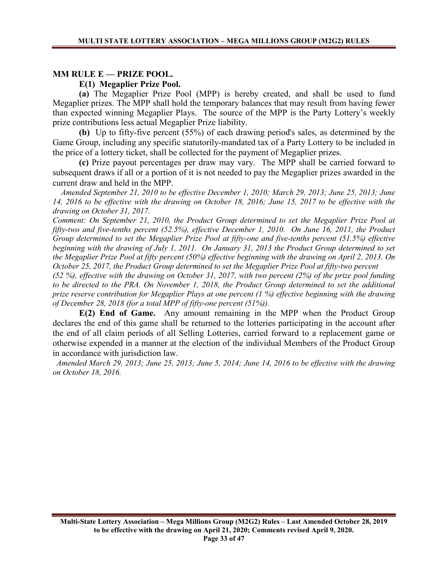### **MM RULE E — PRIZE POOL.**

### **E(1) Megaplier Prize Pool.**

**(a)** The Megaplier Prize Pool (MPP) is hereby created, and shall be used to fund Megaplier prizes. The MPP shall hold the temporary balances that may result from having fewer than expected winning Megaplier Plays. The source of the MPP is the Party Lottery's weekly prize contributions less actual Megaplier Prize liability.

**(b)** Up to fifty-five percent (55%) of each drawing period's sales, as determined by the Game Group, including any specific statutorily-mandated tax of a Party Lottery to be included in the price of a lottery ticket, shall be collected for the payment of Megaplier prizes.

**(c)** Prize payout percentages per draw may vary. The MPP shall be carried forward to subsequent draws if all or a portion of it is not needed to pay the Megaplier prizes awarded in the current draw and held in the MPP.

 *Amended September 21, 2010 to be effective December 1, 2010; March 29, 2013; June 25, 2013; June 14, 2016 to be effective with the drawing on October 18, 2016; June 15, 2017 to be effective with the drawing on October 31, 2017.*

*Comment: On September 21, 2010, the Product Group determined to set the Megaplier Prize Pool at fifty-two and five-tenths percent (52.5%), effective December 1, 2010. On June 16, 2011, the Product Group determined to set the Megaplier Prize Pool at fifty-one and five-tenths percent (51.5%) effective beginning with the drawing of July 1, 2011. On January 31, 2013 the Product Group determined to set the Megaplier Prize Pool at fifty percent (50%) effective beginning with the drawing on April 2, 2013. On October 25, 2017, the Product Group determined to set the Megaplier Prize Pool at fifty-two percent* 

*(52 %), effective with the drawing on October 31, 2017, with two percent (2%) of the prize pool funding to be directed to the PRA. On November 1, 2018, the Product Group determined to set the additional prize reserve contribution for Megaplier Plays at one percent (1 %) effective beginning with the drawing of December 28, 2018 (for a total MPP of fifty-one percent (51%)).* 

 **E(2) End of Game.** Any amount remaining in the MPP when the Product Group declares the end of this game shall be returned to the lotteries participating in the account after the end of all claim periods of all Selling Lotteries, carried forward to a replacement game or otherwise expended in a manner at the election of the individual Members of the Product Group in accordance with jurisdiction law.

 *Amended March 29, 2013; June 25, 2013; June 5, 2014; June 14, 2016 to be effective with the drawing on October 18, 2016.*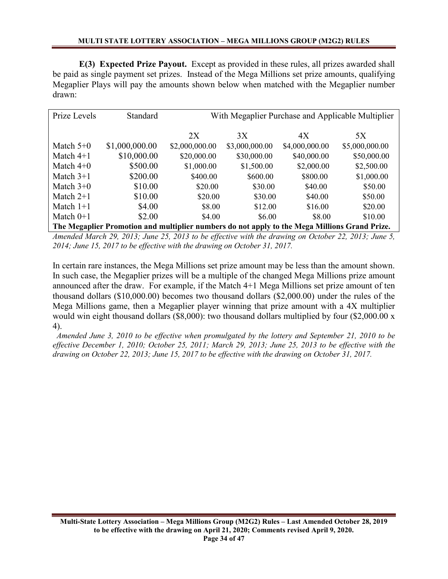**E(3) Expected Prize Payout.** Except as provided in these rules, all prizes awarded shall be paid as single payment set prizes. Instead of the Mega Millions set prize amounts, qualifying Megaplier Plays will pay the amounts shown below when matched with the Megaplier number drawn:

| Prize Levels                                                                                  | <b>Standard</b> | With Megaplier Purchase and Applicable Multiplier |                |                |                |
|-----------------------------------------------------------------------------------------------|-----------------|---------------------------------------------------|----------------|----------------|----------------|
|                                                                                               |                 | 2X                                                | 3X             | 4X             | 5X             |
| Match $5+0$                                                                                   | \$1,000,000.00  | \$2,000,000.00                                    | \$3,000,000.00 | \$4,000,000.00 | \$5,000,000.00 |
| Match $4+1$                                                                                   | \$10,000.00     | \$20,000.00                                       | \$30,000.00    | \$40,000.00    | \$50,000.00    |
| Match $4+0$                                                                                   | \$500.00        | \$1,000.00                                        | \$1,500.00     | \$2,000.00     | \$2,500.00     |
| Match $3+1$                                                                                   | \$200.00        | \$400.00                                          | \$600.00       | \$800.00       | \$1,000.00     |
| Match $3+0$                                                                                   | \$10.00         | \$20.00                                           | \$30.00        | \$40.00        | \$50.00        |
| Match $2+1$                                                                                   | \$10.00         | \$20.00                                           | \$30.00        | \$40.00        | \$50.00        |
| Match $1+1$                                                                                   | \$4.00          | \$8.00                                            | \$12.00        | \$16.00        | \$20.00        |
| Match $0+1$                                                                                   | \$2.00          | \$4.00                                            | \$6.00         | \$8.00         | \$10.00        |
| The Megaplier Promotion and multiplier numbers do not apply to the Mega Millions Grand Prize. |                 |                                                   |                |                |                |

*Amended March 29, 2013; June 25, 2013 to be effective with the drawing on October 22, 2013; June 5, 2014; June 15, 2017 to be effective with the drawing on October 31, 2017.*

In certain rare instances, the Mega Millions set prize amount may be less than the amount shown. In such case, the Megaplier prizes will be a multiple of the changed Mega Millions prize amount announced after the draw. For example, if the Match 4+1 Mega Millions set prize amount of ten thousand dollars (\$10,000.00) becomes two thousand dollars (\$2,000.00) under the rules of the Mega Millions game, then a Megaplier player winning that prize amount with a 4X multiplier would win eight thousand dollars (\$8,000): two thousand dollars multiplied by four (\$2,000.00 x 4).

 *Amended June 3, 2010 to be effective when promulgated by the lottery and September 21, 2010 to be effective December 1, 2010; October 25, 2011; March 29, 2013; June 25, 2013 to be effective with the drawing on October 22, 2013; June 15, 2017 to be effective with the drawing on October 31, 2017.*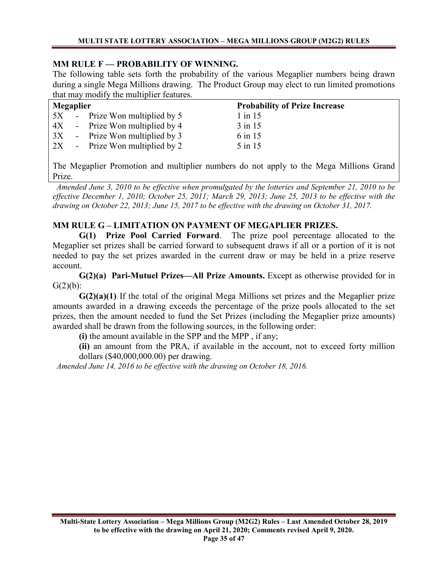# **MM RULE F — PROBABILITY OF WINNING.**

The following table sets forth the probability of the various Megaplier numbers being drawn during a single Mega Millions drawing. The Product Group may elect to run limited promotions that may modify the multiplier features.

| Megaplier |  |                                  | <b>Probability of Prize Increase</b> |
|-----------|--|----------------------------------|--------------------------------------|
|           |  | 5X - Prize Won multiplied by 5   | $1$ in 15                            |
|           |  | 4X - Prize Won multiplied by 4   | $3$ in 15                            |
|           |  | $3X$ - Prize Won multiplied by 3 | 6 in 15                              |
|           |  | $2X$ - Prize Won multiplied by 2 | 5 in 15                              |

The Megaplier Promotion and multiplier numbers do not apply to the Mega Millions Grand Prize.

 *Amended June 3, 2010 to be effective when promulgated by the lotteries and September 21, 2010 to be effective December 1, 2010; October 25, 2011; March 29, 2013; June 25, 2013 to be effective with the drawing on October 22, 2013; June 15, 2017 to be effective with the drawing on October 31, 2017.*

# **MM RULE G – LIMITATION ON PAYMENT OF MEGAPLIER PRIZES.**

**G(1) Prize Pool Carried Forward**. The prize pool percentage allocated to the Megaplier set prizes shall be carried forward to subsequent draws if all or a portion of it is not needed to pay the set prizes awarded in the current draw or may be held in a prize reserve account.

**G(2)(a) Pari-Mutuel Prizes—All Prize Amounts.** Except as otherwise provided for in  $G(2)(b)$ :

**G(2)(a)(1)** If the total of the original Mega Millions set prizes and the Megaplier prize amounts awarded in a drawing exceeds the percentage of the prize pools allocated to the set prizes, then the amount needed to fund the Set Prizes (including the Megaplier prize amounts) awarded shall be drawn from the following sources, in the following order:

**(i)** the amount available in the SPP and the MPP , if any;

**(ii)** an amount from the PRA, if available in the account, not to exceed forty million dollars (\$40,000,000.00) per drawing.

 *Amended June 14, 2016 to be effective with the drawing on October 18, 2016.*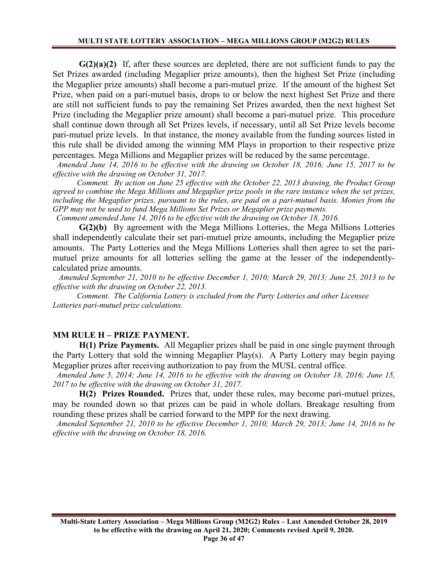**G(2)(a)(2)** If, after these sources are depleted, there are not sufficient funds to pay the Set Prizes awarded (including Megaplier prize amounts), then the highest Set Prize (including the Megaplier prize amounts) shall become a pari-mutuel prize. If the amount of the highest Set Prize, when paid on a pari-mutuel basis, drops to or below the next highest Set Prize and there are still not sufficient funds to pay the remaining Set Prizes awarded, then the next highest Set Prize (including the Megaplier prize amount) shall become a pari-mutuel prize. This procedure shall continue down through all Set Prizes levels, if necessary, until all Set Prize levels become pari-mutuel prize levels. In that instance, the money available from the funding sources listed in this rule shall be divided among the winning MM Plays in proportion to their respective prize percentages. Mega Millions and Megaplier prizes will be reduced by the same percentage.

 *Amended June 14, 2016 to be effective with the drawing on October 18, 2016; June 15, 2017 to be effective with the drawing on October 31, 2017.*

 *Comment. By action on June 25 effective with the October 22, 2013 drawing, the Product Group agreed to combine the Mega Millions and Megaplier prize pools in the rare instance when the set prizes, including the Megaplier prizes, pursuant to the rules, are paid on a pari-mutuel basis. Monies from the GPP may not be used to fund Mega Millions Set Prizes or Megaplier prize payments.*

 *Comment amended June 14, 2016 to be effective with the drawing on October 18, 2016.*

**G(2)(b)** By agreement with the Mega Millions Lotteries, the Mega Millions Lotteries shall independently calculate their set pari-mutuel prize amounts, including the Megaplier prize amounts. The Party Lotteries and the Mega Millions Lotteries shall then agree to set the parimutuel prize amounts for all lotteries selling the game at the lesser of the independentlycalculated prize amounts.

 *Amended September 21, 2010 to be effective December 1, 2010; March 29, 2013; June 25, 2013 to be effective with the drawing on October 22, 2013.*

 *Comment. The California Lottery is excluded from the Party Lotteries and other Licensee Lotteries pari-mutuel prize calculations.*

#### **MM RULE H – PRIZE PAYMENT.**

**H(1) Prize Payments.** All Megaplier prizes shall be paid in one single payment through the Party Lottery that sold the winning Megaplier Play(s). A Party Lottery may begin paying Megaplier prizes after receiving authorization to pay from the MUSL central office.

 *Amended June 5, 2014; June 14, 2016 to be effective with the drawing on October 18, 2016; June 15, 2017 to be effective with the drawing on October 31, 2017.*

**H(2) Prizes Rounded.** Prizes that, under these rules, may become pari-mutuel prizes, may be rounded down so that prizes can be paid in whole dollars. Breakage resulting from rounding these prizes shall be carried forward to the MPP for the next drawing.

 *Amended September 21, 2010 to be effective December 1, 2010; March 29, 2013; June 14, 2016 to be effective with the drawing on October 18, 2016.*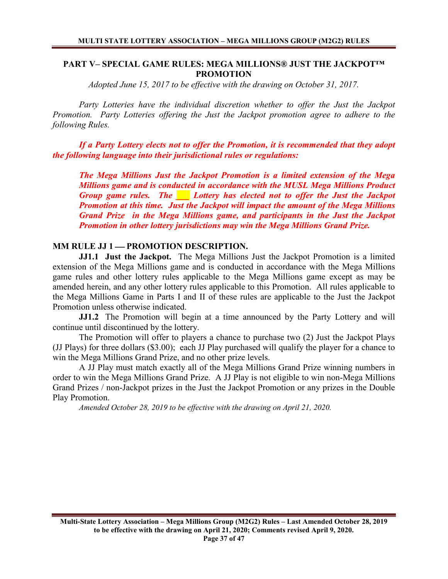## **PART V– SPECIAL GAME RULES: MEGA MILLIONS® JUST THE JACKPOT™ PROMOTION**

*Adopted June 15, 2017 to be effective with the drawing on October 31, 2017.*

*Party Lotteries have the individual discretion whether to offer the Just the Jackpot Promotion. Party Lotteries offering the Just the Jackpot promotion agree to adhere to the following Rules.* 

*If a Party Lottery elects not to offer the Promotion, it is recommended that they adopt the following language into their jurisdictional rules or regulations:*

*The Mega Millions Just the Jackpot Promotion is a limited extension of the Mega Millions game and is conducted in accordance with the MUSL Mega Millions Product Group game rules. The \_\_\_ Lottery has elected not to offer the Just the Jackpot Promotion at this time. Just the Jackpot will impact the amount of the Mega Millions Grand Prize in the Mega Millions game, and participants in the Just the Jackpot Promotion in other lottery jurisdictions may win the Mega Millions Grand Prize.*

# **MM RULE JJ 1 — PROMOTION DESCRIPTION.**

**JJ1.1 Just the Jackpot.** The Mega Millions Just the Jackpot Promotion is a limited extension of the Mega Millions game and is conducted in accordance with the Mega Millions game rules and other lottery rules applicable to the Mega Millions game except as may be amended herein, and any other lottery rules applicable to this Promotion. All rules applicable to the Mega Millions Game in Parts I and II of these rules are applicable to the Just the Jackpot Promotion unless otherwise indicated.

**JJ1.2** The Promotion will begin at a time announced by the Party Lottery and will continue until discontinued by the lottery.

The Promotion will offer to players a chance to purchase two (2) Just the Jackpot Plays (JJ Plays) for three dollars (\$3.00); each JJ Play purchased will qualify the player for a chance to win the Mega Millions Grand Prize, and no other prize levels.

A JJ Play must match exactly all of the Mega Millions Grand Prize winning numbers in order to win the Mega Millions Grand Prize. A JJ Play is not eligible to win non-Mega Millions Grand Prizes / non-Jackpot prizes in the Just the Jackpot Promotion or any prizes in the Double Play Promotion.

*Amended October 28, 2019 to be effective with the drawing on April 21, 2020.*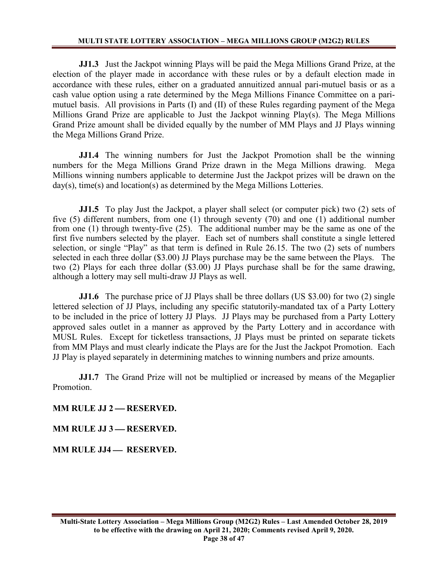**JJ1.3** Just the Jackpot winning Plays will be paid the Mega Millions Grand Prize, at the election of the player made in accordance with these rules or by a default election made in accordance with these rules, either on a graduated annuitized annual pari-mutuel basis or as a cash value option using a rate determined by the Mega Millions Finance Committee on a parimutuel basis. All provisions in Parts (I) and (II) of these Rules regarding payment of the Mega Millions Grand Prize are applicable to Just the Jackpot winning Play(s). The Mega Millions Grand Prize amount shall be divided equally by the number of MM Plays and JJ Plays winning the Mega Millions Grand Prize.

**JJ1.4** The winning numbers for Just the Jackpot Promotion shall be the winning numbers for the Mega Millions Grand Prize drawn in the Mega Millions drawing. Mega Millions winning numbers applicable to determine Just the Jackpot prizes will be drawn on the day(s), time(s) and location(s) as determined by the Mega Millions Lotteries.

**JJ1.5** To play Just the Jackpot, a player shall select (or computer pick) two (2) sets of five (5) different numbers, from one (1) through seventy (70) and one (1) additional number from one (1) through twenty-five (25). The additional number may be the same as one of the first five numbers selected by the player. Each set of numbers shall constitute a single lettered selection, or single "Play" as that term is defined in Rule 26.15. The two (2) sets of numbers selected in each three dollar (\$3.00) JJ Plays purchase may be the same between the Plays. The two (2) Plays for each three dollar (\$3.00) JJ Plays purchase shall be for the same drawing, although a lottery may sell multi-draw JJ Plays as well.

**JJ1.6** The purchase price of JJ Plays shall be three dollars (US \$3.00) for two (2) single lettered selection of JJ Plays, including any specific statutorily-mandated tax of a Party Lottery to be included in the price of lottery JJ Plays. JJ Plays may be purchased from a Party Lottery approved sales outlet in a manner as approved by the Party Lottery and in accordance with MUSL Rules. Except for ticketless transactions, JJ Plays must be printed on separate tickets from MM Plays and must clearly indicate the Plays are for the Just the Jackpot Promotion. Each JJ Play is played separately in determining matches to winning numbers and prize amounts.

**JJ1.7** The Grand Prize will not be multiplied or increased by means of the Megaplier Promotion.

**MM RULE JJ 2 — RESERVED.** 

**MM RULE JJ 3 — RESERVED.** 

**MM RULE JJ4 — RESERVED.**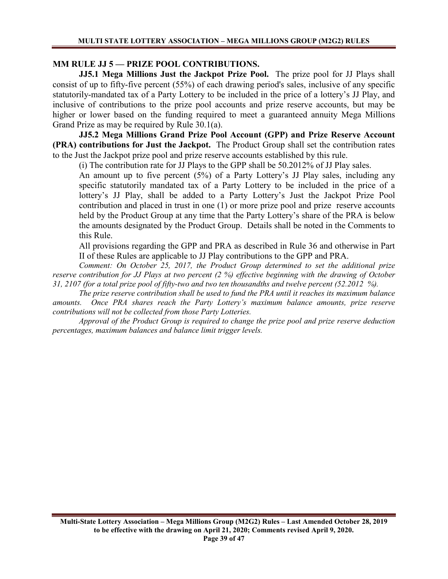# **MM RULE JJ 5 — PRIZE POOL CONTRIBUTIONS.**

**JJ5.1 Mega Millions Just the Jackpot Prize Pool.** The prize pool for JJ Plays shall consist of up to fifty-five percent (55%) of each drawing period's sales, inclusive of any specific statutorily-mandated tax of a Party Lottery to be included in the price of a lottery's JJ Play, and inclusive of contributions to the prize pool accounts and prize reserve accounts, but may be higher or lower based on the funding required to meet a guaranteed annuity Mega Millions Grand Prize as may be required by Rule 30.1(a).

**JJ5.2 Mega Millions Grand Prize Pool Account (GPP) and Prize Reserve Account (PRA) contributions for Just the Jackpot.** The Product Group shall set the contribution rates to the Just the Jackpot prize pool and prize reserve accounts established by this rule.

(i) The contribution rate for JJ Plays to the GPP shall be 50.2012% of JJ Play sales.

An amount up to five percent (5%) of a Party Lottery's JJ Play sales, including any specific statutorily mandated tax of a Party Lottery to be included in the price of a lottery's JJ Play, shall be added to a Party Lottery's Just the Jackpot Prize Pool contribution and placed in trust in one (1) or more prize pool and prize reserve accounts held by the Product Group at any time that the Party Lottery's share of the PRA is below the amounts designated by the Product Group. Details shall be noted in the Comments to this Rule.

All provisions regarding the GPP and PRA as described in Rule 36 and otherwise in Part II of these Rules are applicable to JJ Play contributions to the GPP and PRA.

*Comment: On October 25, 2017, the Product Group determined to set the additional prize reserve contribution for JJ Plays at two percent (2 %) effective beginning with the drawing of October 31, 2107 (for a total prize pool of fifty-two and two ten thousandths and twelve percent (52.2012 %).*

*The prize reserve contribution shall be used to fund the PRA until it reaches its maximum balance amounts. Once PRA shares reach the Party Lottery's maximum balance amounts, prize reserve contributions will not be collected from those Party Lotteries.*

*Approval of the Product Group is required to change the prize pool and prize reserve deduction percentages, maximum balances and balance limit trigger levels.*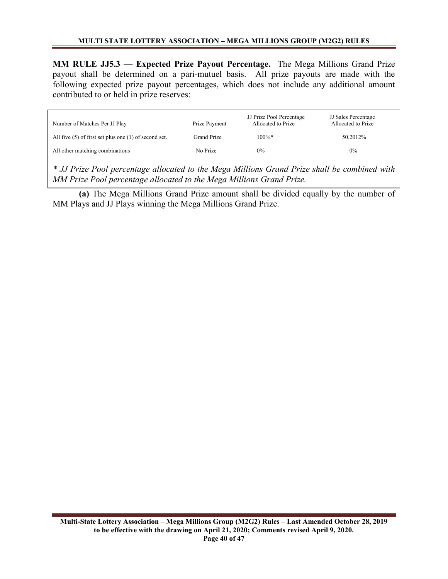**MM RULE JJ5.3 — Expected Prize Payout Percentage.** The Mega Millions Grand Prize payout shall be determined on a pari-mutuel basis. All prize payouts are made with the following expected prize payout percentages, which does not include any additional amount contributed to or held in prize reserves:

| Number of Matches Per JJ Play                             | Prize Payment | JJ Prize Pool Percentage<br>Allocated to Prize | <b>JJ</b> Sales Percentage<br>Allocated to Prize |
|-----------------------------------------------------------|---------------|------------------------------------------------|--------------------------------------------------|
| All five $(5)$ of first set plus one $(1)$ of second set. | Grand Prize   | $100\%*$                                       | 50.2012\%                                        |
| All other matching combinations                           | No Prize      | $0\%$                                          | $0\%$                                            |

*\* JJ Prize Pool percentage allocated to the Mega Millions Grand Prize shall be combined with MM Prize Pool percentage allocated to the Mega Millions Grand Prize.*

**(a)** The Mega Millions Grand Prize amount shall be divided equally by the number of MM Plays and JJ Plays winning the Mega Millions Grand Prize.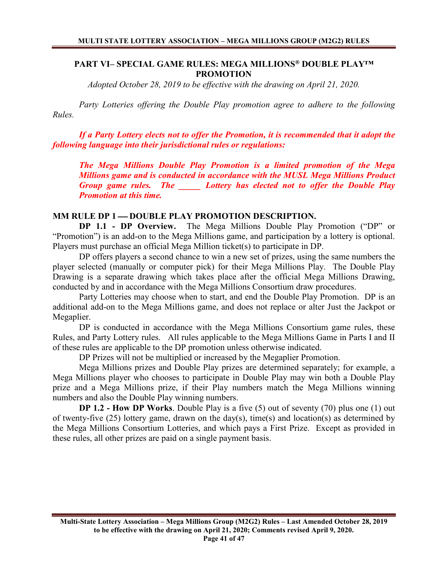## **PART VI– SPECIAL GAME RULES: MEGA MILLIONS® DOUBLE PLAY™ PROMOTION**

*Adopted October 28, 2019 to be effective with the drawing on April 21, 2020.*

*Party Lotteries offering the Double Play promotion agree to adhere to the following Rules.* 

*If a Party Lottery elects not to offer the Promotion, it is recommended that it adopt the following language into their jurisdictional rules or regulations:*

*The Mega Millions Double Play Promotion is a limited promotion of the Mega Millions game and is conducted in accordance with the MUSL Mega Millions Product Group game rules. The \_\_\_\_\_ Lottery has elected not to offer the Double Play Promotion at this time.* 

### **MM RULE DP 1 DOUBLE PLAY PROMOTION DESCRIPTION.**

**DP 1.1 - DP Overview.** The Mega Millions Double Play Promotion ("DP" or "Promotion") is an add-on to the Mega Millions game, and participation by a lottery is optional. Players must purchase an official Mega Million ticket(s) to participate in DP.

DP offers players a second chance to win a new set of prizes, using the same numbers the player selected (manually or computer pick) for their Mega Millions Play. The Double Play Drawing is a separate drawing which takes place after the official Mega Millions Drawing, conducted by and in accordance with the Mega Millions Consortium draw procedures.

Party Lotteries may choose when to start, and end the Double Play Promotion. DP is an additional add-on to the Mega Millions game, and does not replace or alter Just the Jackpot or Megaplier.

DP is conducted in accordance with the Mega Millions Consortium game rules, these Rules, and Party Lottery rules. All rules applicable to the Mega Millions Game in Parts I and II of these rules are applicable to the DP promotion unless otherwise indicated.

DP Prizes will not be multiplied or increased by the Megaplier Promotion.

Mega Millions prizes and Double Play prizes are determined separately; for example, a Mega Millions player who chooses to participate in Double Play may win both a Double Play prize and a Mega Millions prize, if their Play numbers match the Mega Millions winning numbers and also the Double Play winning numbers.

**DP 1.2 - How DP Works**. Double Play is a five (5) out of seventy (70) plus one (1) out of twenty-five (25) lottery game, drawn on the day(s), time(s) and location(s) as determined by the Mega Millions Consortium Lotteries, and which pays a First Prize. Except as provided in these rules, all other prizes are paid on a single payment basis.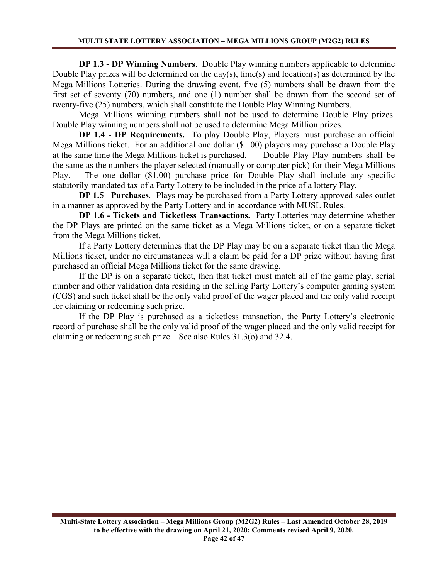**DP 1.3 - DP Winning Numbers**. Double Play winning numbers applicable to determine Double Play prizes will be determined on the day(s), time(s) and location(s) as determined by the Mega Millions Lotteries. During the drawing event, five (5) numbers shall be drawn from the first set of seventy (70) numbers, and one (1) number shall be drawn from the second set of twenty-five (25) numbers, which shall constitute the Double Play Winning Numbers.

Mega Millions winning numbers shall not be used to determine Double Play prizes. Double Play winning numbers shall not be used to determine Mega Million prizes.

**DP 1.4 - DP Requirements.** To play Double Play, Players must purchase an official Mega Millions ticket. For an additional one dollar (\$1.00) players may purchase a Double Play at the same time the Mega Millions ticket is purchased. Double Play Play numbers shall be the same as the numbers the player selected (manually or computer pick) for their Mega Millions Play. The one dollar (\$1.00) purchase price for Double Play shall include any specific statutorily-mandated tax of a Party Lottery to be included in the price of a lottery Play.

**DP 1.5** - **Purchases**. Plays may be purchased from a Party Lottery approved sales outlet in a manner as approved by the Party Lottery and in accordance with MUSL Rules.

**DP 1.6 - Tickets and Ticketless Transactions.** Party Lotteries may determine whether the DP Plays are printed on the same ticket as a Mega Millions ticket, or on a separate ticket from the Mega Millions ticket.

If a Party Lottery determines that the DP Play may be on a separate ticket than the Mega Millions ticket, under no circumstances will a claim be paid for a DP prize without having first purchased an official Mega Millions ticket for the same drawing.

If the DP is on a separate ticket, then that ticket must match all of the game play, serial number and other validation data residing in the selling Party Lottery's computer gaming system (CGS) and such ticket shall be the only valid proof of the wager placed and the only valid receipt for claiming or redeeming such prize.

If the DP Play is purchased as a ticketless transaction, the Party Lottery's electronic record of purchase shall be the only valid proof of the wager placed and the only valid receipt for claiming or redeeming such prize. See also Rules 31.3(o) and 32.4.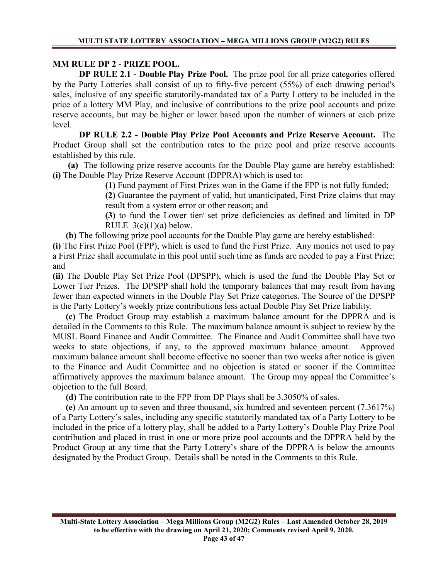# **MM RULE DP 2 - PRIZE POOL.**

**DP RULE 2.1 - Double Play Prize Pool.** The prize pool for all prize categories offered by the Party Lotteries shall consist of up to fifty-five percent (55%) of each drawing period's sales, inclusive of any specific statutorily-mandated tax of a Party Lottery to be included in the price of a lottery MM Play, and inclusive of contributions to the prize pool accounts and prize reserve accounts, but may be higher or lower based upon the number of winners at each prize level.

**DP RULE 2.2 - Double Play Prize Pool Accounts and Prize Reserve Account.** The Product Group shall set the contribution rates to the prize pool and prize reserve accounts established by this rule.

 **(a)** The following prize reserve accounts for the Double Play game are hereby established: **(i)** The Double Play Prize Reserve Account (DPPRA) which is used to:

**(1)** Fund payment of First Prizes won in the Game if the FPP is not fully funded;

**(2)** Guarantee the payment of valid, but unanticipated, First Prize claims that may result from a system error or other reason; and

**(3)** to fund the Lower tier/ set prize deficiencies as defined and limited in DP RULE  $3(c)(1)(a)$  below.

 **(b)** The following prize pool accounts for the Double Play game are hereby established:

**(i)** The First Prize Pool (FPP), which is used to fund the First Prize. Any monies not used to pay a First Prize shall accumulate in this pool until such time as funds are needed to pay a First Prize; and

**(ii)** The Double Play Set Prize Pool (DPSPP), which is used the fund the Double Play Set or Lower Tier Prizes. The DPSPP shall hold the temporary balances that may result from having fewer than expected winners in the Double Play Set Prize categories. The Source of the DPSPP is the Party Lottery's weekly prize contributions less actual Double Play Set Prize liability.

 **(c)** The Product Group may establish a maximum balance amount for the DPPRA and is detailed in the Comments to this Rule. The maximum balance amount is subject to review by the MUSL Board Finance and Audit Committee. The Finance and Audit Committee shall have two weeks to state objections, if any, to the approved maximum balance amount. Approved maximum balance amount shall become effective no sooner than two weeks after notice is given to the Finance and Audit Committee and no objection is stated or sooner if the Committee affirmatively approves the maximum balance amount. The Group may appeal the Committee's objection to the full Board.

**(d)** The contribution rate to the FPP from DP Plays shall be 3.3050% of sales.

 **(e)** An amount up to seven and three thousand, six hundred and seventeen percent (7.3617%) of a Party Lottery's sales, including any specific statutorily mandated tax of a Party Lottery to be included in the price of a lottery play, shall be added to a Party Lottery's Double Play Prize Pool contribution and placed in trust in one or more prize pool accounts and the DPPRA held by the Product Group at any time that the Party Lottery's share of the DPPRA is below the amounts designated by the Product Group. Details shall be noted in the Comments to this Rule.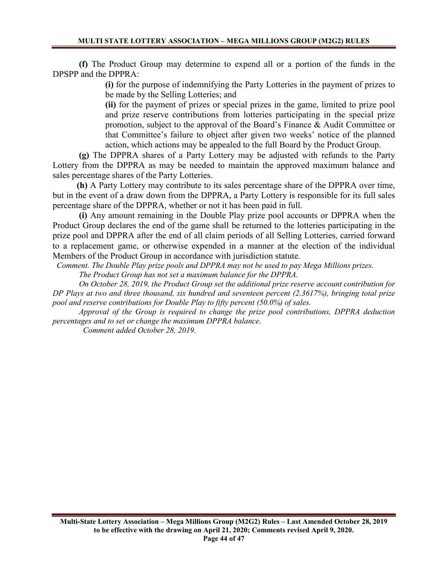**(f)** The Product Group may determine to expend all or a portion of the funds in the DPSPP and the DPPRA:

> **(i)** for the purpose of indemnifying the Party Lotteries in the payment of prizes to be made by the Selling Lotteries; and

> **(ii)** for the payment of prizes or special prizes in the game, limited to prize pool and prize reserve contributions from lotteries participating in the special prize promotion, subject to the approval of the Board's Finance & Audit Committee or that Committee's failure to object after given two weeks' notice of the planned action, which actions may be appealed to the full Board by the Product Group.

**(g)** The DPPRA shares of a Party Lottery may be adjusted with refunds to the Party Lottery from the DPPRA as may be needed to maintain the approved maximum balance and sales percentage shares of the Party Lotteries.

 **(h)** A Party Lottery may contribute to its sales percentage share of the DPPRA over time, but in the event of a draw down from the DPPRA, a Party Lottery is responsible for its full sales percentage share of the DPPRA, whether or not it has been paid in full.

**(i)** Any amount remaining in the Double Play prize pool accounts or DPPRA when the Product Group declares the end of the game shall be returned to the lotteries participating in the prize pool and DPPRA after the end of all claim periods of all Selling Lotteries, carried forward to a replacement game, or otherwise expended in a manner at the election of the individual Members of the Product Group in accordance with jurisdiction statute.

 *Comment. The Double Play prize pools and DPPRA may not be used to pay Mega Millions prizes. The Product Group has not set a maximum balance for the DPPRA.*

*On October 28, 2019, the Product Group set the additional prize reserve account contribution for DP Plays at two and three thousand, six hundred and seventeen percent (2.3617%), bringing total prize pool and reserve contributions for Double Play to fifty percent (50.0%) of sales.*

*Approval of the Group is required to change the prize pool contributions, DPPRA deduction percentages and to set or change the maximum DPPRA balance.*

 *Comment added October 28, 2019.*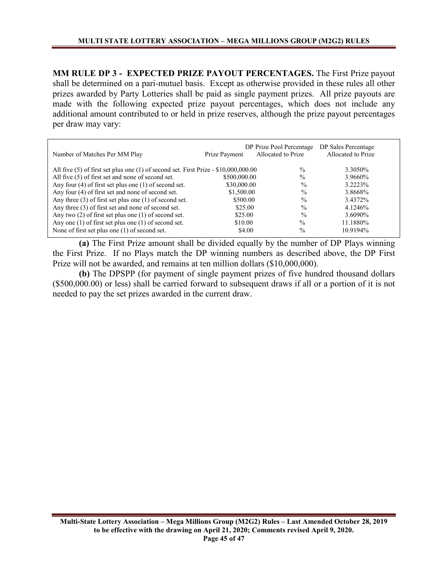**MM RULE DP 3 - EXPECTED PRIZE PAYOUT PERCENTAGES.** The First Prize payout shall be determined on a pari-mutuel basis. Except as otherwise provided in these rules all other prizes awarded by Party Lotteries shall be paid as single payment prizes. All prize payouts are made with the following expected prize payout percentages, which does not include any additional amount contributed to or held in prize reserves, although the prize payout percentages per draw may vary:

| Number of Matches Per MM Play                                                           | Prize Payment | DP Prize Pool Percentage<br>Allocated to Prize | DP Sales Percentage<br>Allocated to Prize |
|-----------------------------------------------------------------------------------------|---------------|------------------------------------------------|-------------------------------------------|
| All five $(5)$ of first set plus one $(1)$ of second set. First Prize - \$10,000,000.00 |               | $\%$                                           | 3.3050\%                                  |
| All five (5) of first set and none of second set.                                       | \$500,000.00  | $\frac{0}{0}$                                  | 3.9660%                                   |
| Any four $(4)$ of first set plus one $(1)$ of second set.                               | \$30,000.00   | $\frac{0}{0}$                                  | 3.2223%                                   |
| Any four (4) of first set and none of second set.                                       | \$1,500.00    | $\frac{0}{0}$                                  | 3.8668%                                   |
| Any three $(3)$ of first set plus one $(1)$ of second set.                              | \$500.00      | $\frac{0}{0}$                                  | 3.4372%                                   |
| Any three (3) of first set and none of second set.                                      | \$25.00       | $\frac{0}{0}$                                  | 4.1246%                                   |
| Any two $(2)$ of first set plus one $(1)$ of second set.                                | \$25.00       | $\frac{0}{0}$                                  | 3.6090%                                   |
| Any one $(1)$ of first set plus one $(1)$ of second set.                                | \$10.00       | $\%$                                           | 11.1880%                                  |
| None of first set plus one $(1)$ of second set.                                         | \$4.00        | $\%$                                           | 10.9194%                                  |

**(a)** The First Prize amount shall be divided equally by the number of DP Plays winning the First Prize. If no Plays match the DP winning numbers as described above, the DP First Prize will not be awarded, and remains at ten million dollars (\$10,000,000).

**(b)** The DPSPP (for payment of single payment prizes of five hundred thousand dollars (\$500,000.00) or less) shall be carried forward to subsequent draws if all or a portion of it is not needed to pay the set prizes awarded in the current draw.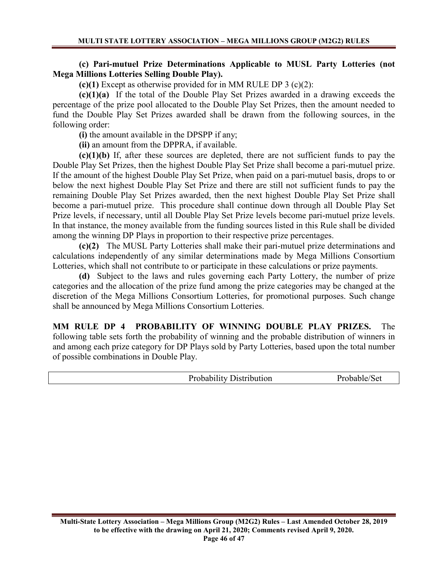## **(c) Pari-mutuel Prize Determinations Applicable to MUSL Party Lotteries (not Mega Millions Lotteries Selling Double Play).**

**(c)(1)** Except as otherwise provided for in MM RULE DP 3 (c)(2):

**(c)(1)(a)** If the total of the Double Play Set Prizes awarded in a drawing exceeds the percentage of the prize pool allocated to the Double Play Set Prizes, then the amount needed to fund the Double Play Set Prizes awarded shall be drawn from the following sources, in the following order:

**(i)** the amount available in the DPSPP if any;

**(ii)** an amount from the DPPRA, if available.

**(c)(1)(b)** If, after these sources are depleted, there are not sufficient funds to pay the Double Play Set Prizes, then the highest Double Play Set Prize shall become a pari-mutuel prize. If the amount of the highest Double Play Set Prize, when paid on a pari-mutuel basis, drops to or below the next highest Double Play Set Prize and there are still not sufficient funds to pay the remaining Double Play Set Prizes awarded, then the next highest Double Play Set Prize shall become a pari-mutuel prize. This procedure shall continue down through all Double Play Set Prize levels, if necessary, until all Double Play Set Prize levels become pari-mutuel prize levels. In that instance, the money available from the funding sources listed in this Rule shall be divided among the winning DP Plays in proportion to their respective prize percentages.

**(c)(2)** The MUSL Party Lotteries shall make their pari-mutuel prize determinations and calculations independently of any similar determinations made by Mega Millions Consortium Lotteries, which shall not contribute to or participate in these calculations or prize payments.

**(d)** Subject to the laws and rules governing each Party Lottery, the number of prize categories and the allocation of the prize fund among the prize categories may be changed at the discretion of the Mega Millions Consortium Lotteries, for promotional purposes. Such change shall be announced by Mega Millions Consortium Lotteries.

**MM RULE DP 4 PROBABILITY OF WINNING DOUBLE PLAY PRIZES.** The following table sets forth the probability of winning and the probable distribution of winners in and among each prize category for DP Plays sold by Party Lotteries, based upon the total number of possible combinations in Double Play.

| <b>Probability Distribution</b> | Probable/Set |
|---------------------------------|--------------|
|                                 |              |